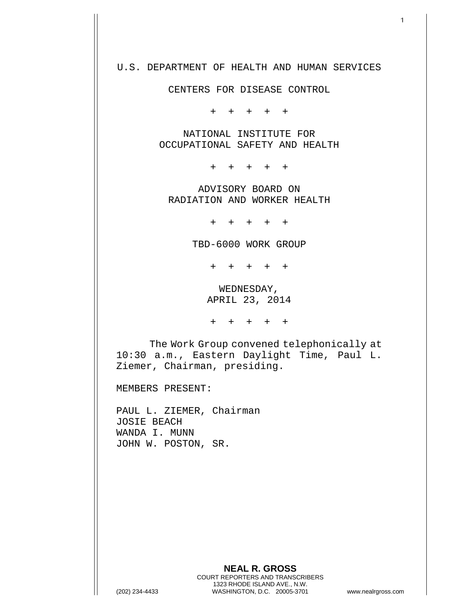## U.S. DEPARTMENT OF HEALTH AND HUMAN SERVICES

CENTERS FOR DISEASE CONTROL

+ + + + +

NATIONAL INSTITUTE FOR OCCUPATIONAL SAFETY AND HEALTH

+ + + + +

ADVISORY BOARD ON RADIATION AND WORKER HEALTH

+ + + + +

TBD-6000 WORK GROUP

+ + + + +

WEDNESDAY, APRIL 23, 2014

+ + + + +

The Work Group convened telephonically at 10:30 a.m., Eastern Daylight Time, Paul L. Ziemer, Chairman, presiding.

MEMBERS PRESENT:

PAUL L. ZIEMER, Chairman JOSIE BEACH WANDA I. MUNN JOHN W. POSTON, SR.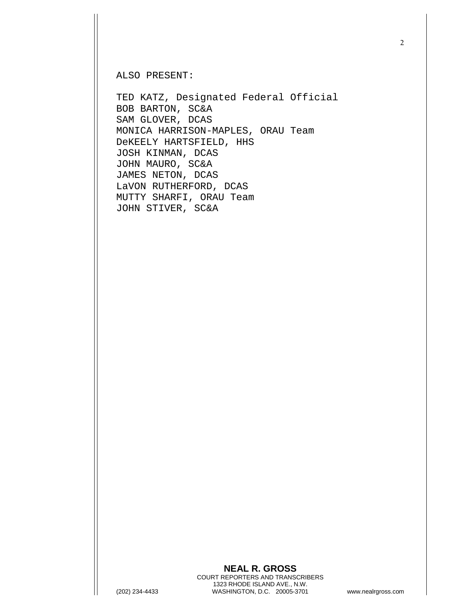ALSO PRESENT:

TED KATZ, Designated Federal Official BOB BARTON, SC&A SAM GLOVER, DCAS MONICA HARRISON-MAPLES, ORAU Team DeKEELY HARTSFIELD, HHS JOSH KINMAN, DCAS JOHN MAURO, SC&A JAMES NETON, DCAS LaVON RUTHERFORD, DCAS MUTTY SHARFI, ORAU Team JOHN STIVER, SC&A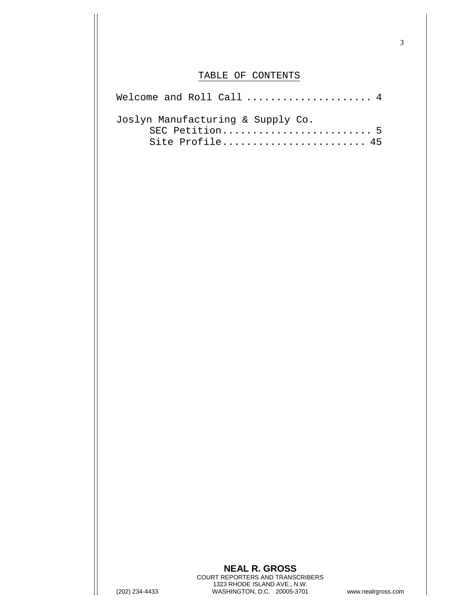## TABLE OF CONTENTS

| Welcome and Roll Call $\dots\dots\dots\dots\dots\dots4$ |
|---------------------------------------------------------|
| Joslyn Manufacturing & Supply Co.                       |
| SEC Petition 5                                          |
| Site Profile 45                                         |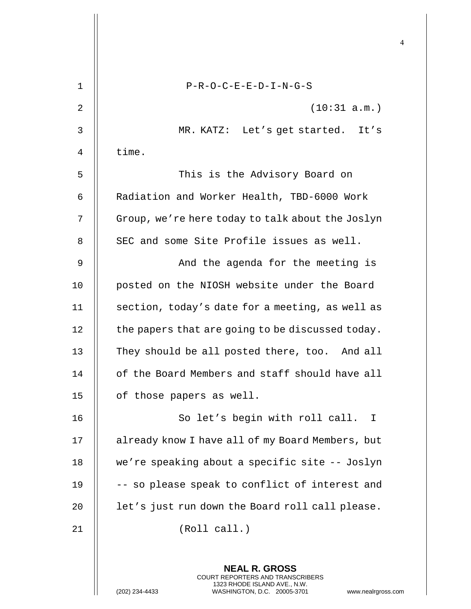| $\mathbf 1$ | $P-R-O-C-E-E-D-I-N-G-S$                                                                                                                                             |
|-------------|---------------------------------------------------------------------------------------------------------------------------------------------------------------------|
| 2           | (10:31 a.m.)                                                                                                                                                        |
| 3           | MR. KATZ: Let's get started. It's                                                                                                                                   |
| 4           | time.                                                                                                                                                               |
| 5           | This is the Advisory Board on                                                                                                                                       |
| 6           | Radiation and Worker Health, TBD-6000 Work                                                                                                                          |
| 7           | Group, we're here today to talk about the Joslyn                                                                                                                    |
| 8           | SEC and some Site Profile issues as well.                                                                                                                           |
| 9           | And the agenda for the meeting is                                                                                                                                   |
| 10          | posted on the NIOSH website under the Board                                                                                                                         |
| 11          | section, today's date for a meeting, as well as                                                                                                                     |
| 12          | the papers that are going to be discussed today.                                                                                                                    |
| 13          | They should be all posted there, too. And all                                                                                                                       |
| 14          | of the Board Members and staff should have all                                                                                                                      |
| 15          | of those papers as well.                                                                                                                                            |
| 16          | So let's begin with roll call. I                                                                                                                                    |
| 17          | already know I have all of my Board Members, but                                                                                                                    |
| 18          | we're speaking about a specific site -- Joslyn                                                                                                                      |
| 19          | -- so please speak to conflict of interest and                                                                                                                      |
| 20          | let's just run down the Board roll call please.                                                                                                                     |
| 21          | (Roll call.)                                                                                                                                                        |
|             | <b>NEAL R. GROSS</b><br><b>COURT REPORTERS AND TRANSCRIBERS</b><br>1323 RHODE ISLAND AVE., N.W.<br>(202) 234-4433<br>WASHINGTON, D.C. 20005-3701<br>www.nealrgross. |

 $\mathsf{l}\mathsf{l}$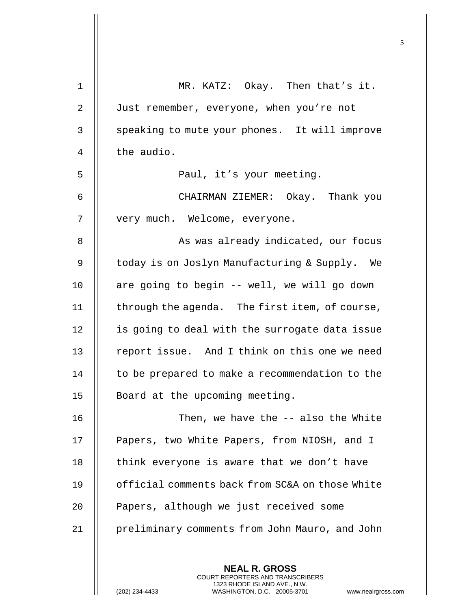| $\mathbf 1$ | MR. KATZ: Okay. Then that's it.                 |
|-------------|-------------------------------------------------|
| 2           | Just remember, everyone, when you're not        |
| 3           | speaking to mute your phones. It will improve   |
| 4           | the audio.                                      |
| 5           | Paul, it's your meeting.                        |
| 6           | CHAIRMAN ZIEMER: Okay. Thank you                |
| 7           | very much. Welcome, everyone.                   |
| 8           | As was already indicated, our focus             |
| 9           | today is on Joslyn Manufacturing & Supply. We   |
| 10          | are going to begin -- well, we will go down     |
| 11          | through the agenda. The first item, of course,  |
| 12          | is going to deal with the surrogate data issue  |
| 13          | report issue. And I think on this one we need   |
| 14          | to be prepared to make a recommendation to the  |
| 15          | Board at the upcoming meeting.                  |
| 16          | Then, we have the -- also the White             |
| 17          | Papers, two White Papers, from NIOSH, and I     |
| $18\,$      | think everyone is aware that we don't have      |
| 19          | official comments back from SC&A on those White |
| 20          | Papers, although we just received some          |
| 21          | preliminary comments from John Mauro, and John  |
|             |                                                 |
|             | <b>NEAL R. GROSS</b>                            |

COURT REPORTERS AND TRANSCRIBERS 1323 RHODE ISLAND AVE., N.W.

 $\mathsf{I}$ 

(202) 234-4433 WASHINGTON, D.C. 20005-3701 www.nealrgross.com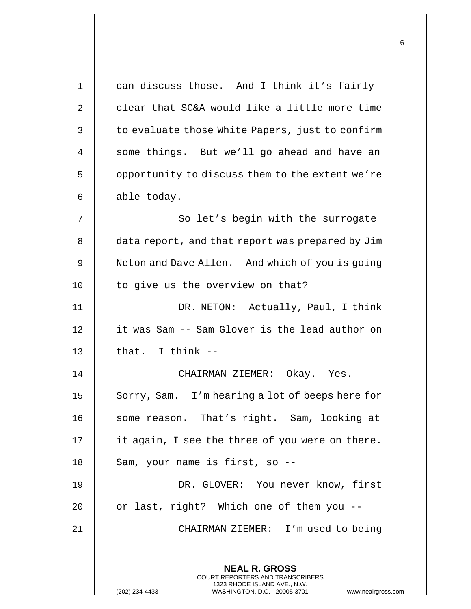| $\mathbf{1}$ | can discuss those. And I think it's fairly                                                                                                                         |
|--------------|--------------------------------------------------------------------------------------------------------------------------------------------------------------------|
| 2            | clear that SC&A would like a little more time                                                                                                                      |
| 3            | to evaluate those White Papers, just to confirm                                                                                                                    |
| 4            | some things. But we'll go ahead and have an                                                                                                                        |
| 5            | opportunity to discuss them to the extent we're                                                                                                                    |
| 6            | able today.                                                                                                                                                        |
| 7            | So let's begin with the surrogate                                                                                                                                  |
| 8            | data report, and that report was prepared by Jim                                                                                                                   |
| 9            | Neton and Dave Allen. And which of you is going                                                                                                                    |
| 10           | to give us the overview on that?                                                                                                                                   |
| 11           | DR. NETON: Actually, Paul, I think                                                                                                                                 |
| 12           | it was Sam -- Sam Glover is the lead author on                                                                                                                     |
| 13           | that. I think $--$                                                                                                                                                 |
| 14           | CHAIRMAN ZIEMER: Okay. Yes.                                                                                                                                        |
| 15           | Sorry, Sam. I'm hearing a lot of beeps here for                                                                                                                    |
| 16           | some reason. That's right. Sam, looking at                                                                                                                         |
| 17           | it again, I see the three of you were on there.                                                                                                                    |
| 18           | Sam, your name is first, so --                                                                                                                                     |
| 19           | DR. GLOVER: You never know, first                                                                                                                                  |
| 20           | or last, right? Which one of them you --                                                                                                                           |
| 21           | CHAIRMAN ZIEMER: I'm used to being                                                                                                                                 |
|              |                                                                                                                                                                    |
|              | <b>NEAL R. GROSS</b><br><b>COURT REPORTERS AND TRANSCRIBERS</b><br>1323 RHODE ISLAND AVE., N.W.<br>(202) 234-4433<br>WASHINGTON, D.C. 20005-3701<br>www.nealrgross |
|              |                                                                                                                                                                    |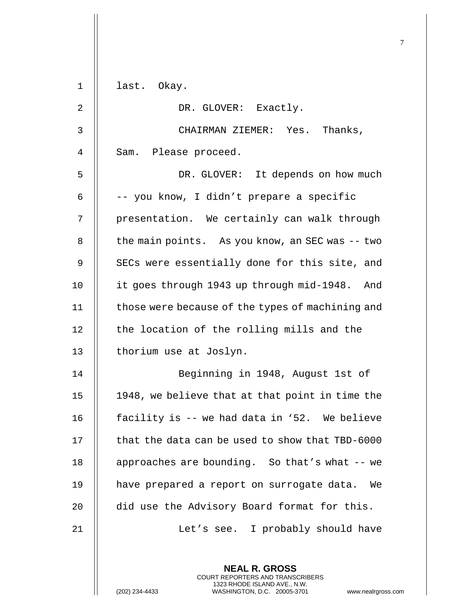| 1            | last. Okay.                                                                                                                                                  |
|--------------|--------------------------------------------------------------------------------------------------------------------------------------------------------------|
| 2            | DR. GLOVER: Exactly.                                                                                                                                         |
| $\mathsf{3}$ | CHAIRMAN ZIEMER: Yes. Thanks,                                                                                                                                |
| 4            | Sam. Please proceed.                                                                                                                                         |
| 5            | DR. GLOVER: It depends on how much                                                                                                                           |
| 6            | -- you know, I didn't prepare a specific                                                                                                                     |
| 7            | presentation. We certainly can walk through                                                                                                                  |
| 8            | the main points. As you know, an SEC was -- two                                                                                                              |
| 9            | SECs were essentially done for this site, and                                                                                                                |
| 10           | it goes through 1943 up through mid-1948. And                                                                                                                |
| 11           | those were because of the types of machining and                                                                                                             |
| 12           | the location of the rolling mills and the                                                                                                                    |
| 13           | thorium use at Joslyn.                                                                                                                                       |
| 14           | Beginning in 1948, August 1st of                                                                                                                             |
| 15           | 1948, we believe that at that point in time the                                                                                                              |
| 16           | facility is -- we had data in '52. We believe                                                                                                                |
| 17           | that the data can be used to show that TBD-6000                                                                                                              |
| 18           | approaches are bounding. So that's what -- we                                                                                                                |
| 19           | have prepared a report on surrogate data. We                                                                                                                 |
| 20           | did use the Advisory Board format for this.                                                                                                                  |
| 21           | Let's see. I probably should have                                                                                                                            |
|              |                                                                                                                                                              |
|              | <b>NEAL R. GROSS</b><br>COURT REPORTERS AND TRANSCRIBERS<br>1323 RHODE ISLAND AVE., N.W.<br>(202) 234-4433<br>WASHINGTON, D.C. 20005-3701<br>www.nealrgross. |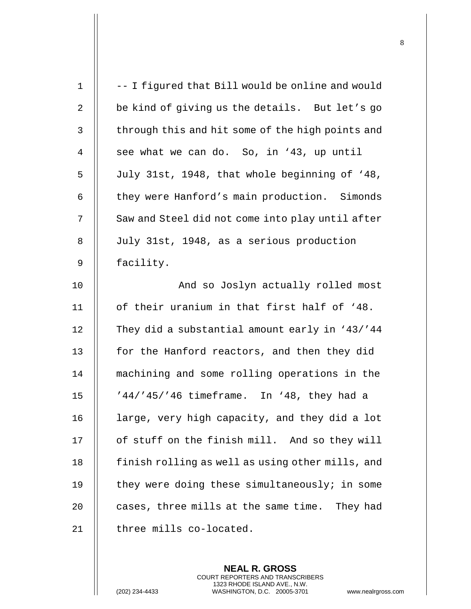| $\mathbf 1$    | -- I figured that Bill would be online and would |
|----------------|--------------------------------------------------|
| $\sqrt{2}$     | be kind of giving us the details. But let's go   |
| 3              | through this and hit some of the high points and |
| $\overline{4}$ | see what we can do. So, in '43, up until         |
| 5              | July 31st, 1948, that whole beginning of '48,    |
| 6              | they were Hanford's main production. Simonds     |
| 7              | Saw and Steel did not come into play until after |
| 8              | July 31st, 1948, as a serious production         |
| 9              | facility.                                        |
| 10             | And so Joslyn actually rolled most               |
| 11             | of their uranium in that first half of '48.      |
| 12             | They did a substantial amount early in '43/'44   |
| 13             | for the Hanford reactors, and then they did      |
| 14             | machining and some rolling operations in the     |
| 15             | '44/'45/'46 timeframe. In '48, they had a        |
| 16             | large, very high capacity, and they did a lot    |
| 17             | of stuff on the finish mill. And so they will    |
| 18             | finish rolling as well as using other mills, and |
| 19             | they were doing these simultaneously; in some    |
| 20             | cases, three mills at the same time.<br>They had |
| 21             | three mills co-located.                          |
|                |                                                  |

**NEAL R. GROSS** COURT REPORTERS AND TRANSCRIBERS 1323 RHODE ISLAND AVE., N.W.

(202) 234-4433 WASHINGTON, D.C. 20005-3701 www.nealrgross.com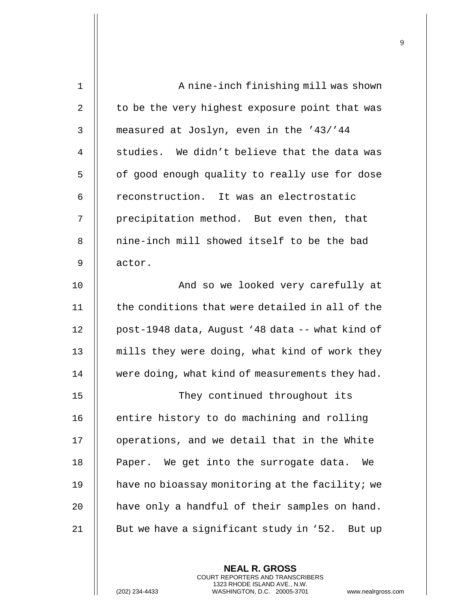| $\mathbf 1$ | A nine-inch finishing mill was shown            |
|-------------|-------------------------------------------------|
| 2           | to be the very highest exposure point that was  |
| 3           | measured at Joslyn, even in the '43/'44         |
| 4           | studies. We didn't believe that the data was    |
| 5           | of good enough quality to really use for dose   |
| 6           | reconstruction. It was an electrostatic         |
| 7           | precipitation method. But even then, that       |
| 8           | nine-inch mill showed itself to be the bad      |
| 9           | actor.                                          |
| 10          | And so we looked very carefully at              |
| 11          | the conditions that were detailed in all of the |
| 12          | post-1948 data, August '48 data -- what kind of |
| 13          | mills they were doing, what kind of work they   |
| 14          | were doing, what kind of measurements they had. |
| 15          | They continued throughout its                   |
| 16          | entire history to do machining and rolling      |
| 17          | operations, and we detail that in the White     |
| 18          | Paper. We get into the surrogate data.<br>We    |
| 19          | have no bioassay monitoring at the facility; we |
| 20          | have only a handful of their samples on hand.   |
| 21          | But we have a significant study in '52. But up  |
|             |                                                 |

**NEAL R. GROSS** COURT REPORTERS AND TRANSCRIBERS 1323 RHODE ISLAND AVE., N.W.

(202) 234-4433 WASHINGTON, D.C. 20005-3701 www.nealrgross.com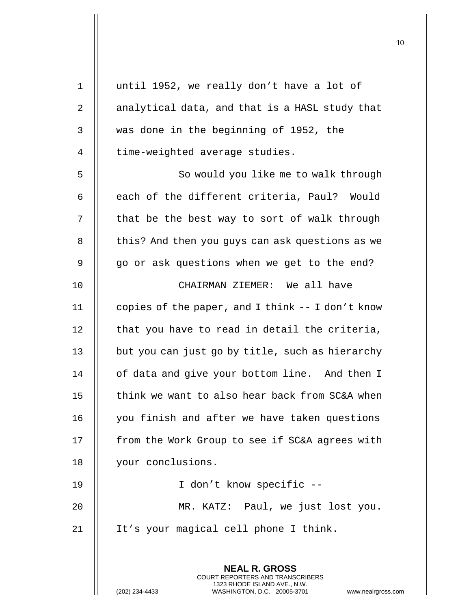| $\mathbf 1$    | until 1952, we really don't have a lot of                                                |
|----------------|------------------------------------------------------------------------------------------|
| $\overline{2}$ | analytical data, and that is a HASL study that                                           |
| $\mathsf{3}$   | was done in the beginning of 1952, the                                                   |
| 4              | time-weighted average studies.                                                           |
| 5              | So would you like me to walk through                                                     |
| 6              | each of the different criteria, Paul? Would                                              |
| 7              | that be the best way to sort of walk through                                             |
| 8              | this? And then you guys can ask questions as we                                          |
| 9              | go or ask questions when we get to the end?                                              |
| 10             | CHAIRMAN ZIEMER: We all have                                                             |
| 11             | copies of the paper, and I think -- I don't know                                         |
| 12             | that you have to read in detail the criteria,                                            |
| 13             | but you can just go by title, such as hierarchy                                          |
| 14             | of data and give your bottom line. And then I                                            |
| 15             | think we want to also hear back from SC&A when                                           |
| 16             | you finish and after we have taken questions                                             |
| 17             | from the Work Group to see if SC&A agrees with                                           |
| 18             | your conclusions.                                                                        |
| 19             | I don't know specific --                                                                 |
| 20             | MR. KATZ: Paul, we just lost you.                                                        |
| 21             | It's your magical cell phone I think.                                                    |
|                |                                                                                          |
|                | <b>NEAL R. GROSS</b><br>COURT REPORTERS AND TRANSCRIBERS<br>1323 RHODE ISLAND AVE., N.W. |
|                | (202) 234-4433<br>WASHINGTON, D.C. 20005-3701<br>www.nealrgross.                         |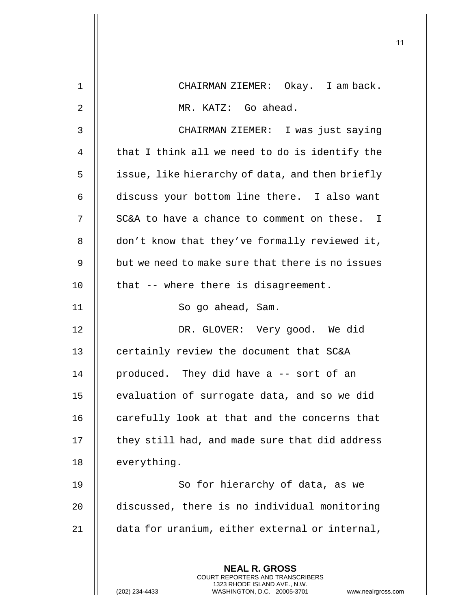| $\mathbf 1$    | CHAIRMAN ZIEMER: Okay. I am back.                                                                                                                                  |
|----------------|--------------------------------------------------------------------------------------------------------------------------------------------------------------------|
| $\overline{2}$ | MR. KATZ: Go ahead.                                                                                                                                                |
| 3              | CHAIRMAN ZIEMER: I was just saying                                                                                                                                 |
| 4              | that I think all we need to do is identify the                                                                                                                     |
| 5              | issue, like hierarchy of data, and then briefly                                                                                                                    |
| 6              | discuss your bottom line there. I also want                                                                                                                        |
| 7              | SC&A to have a chance to comment on these. I                                                                                                                       |
| 8              | don't know that they've formally reviewed it,                                                                                                                      |
| 9              | but we need to make sure that there is no issues                                                                                                                   |
| 10             | that -- where there is disagreement.                                                                                                                               |
| 11             | So go ahead, Sam.                                                                                                                                                  |
| 12             | DR. GLOVER: Very good. We did                                                                                                                                      |
| 13             | certainly review the document that SC&A                                                                                                                            |
| 14             | produced. They did have a -- sort of an                                                                                                                            |
| 15             | evaluation of surrogate data, and so we did                                                                                                                        |
| 16             | carefully look at that and the concerns that                                                                                                                       |
| 17             | they still had, and made sure that did address                                                                                                                     |
| 18             | everything.                                                                                                                                                        |
| 19             | So for hierarchy of data, as we                                                                                                                                    |
| 20             | discussed, there is no individual monitoring                                                                                                                       |
| 21             | data for uranium, either external or internal,                                                                                                                     |
|                |                                                                                                                                                                    |
|                | <b>NEAL R. GROSS</b><br><b>COURT REPORTERS AND TRANSCRIBERS</b><br>1323 RHODE ISLAND AVE., N.W.<br>(202) 234-4433<br>WASHINGTON, D.C. 20005-3701<br>www.nealrgross |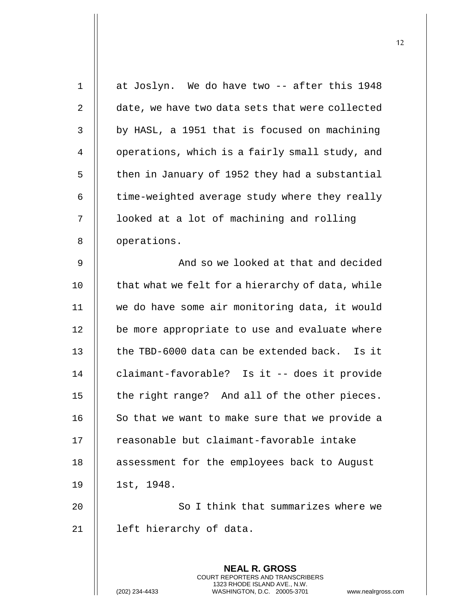| $\mathbf 1$ | at Joslyn. We do have two -- after this 1948                                                    |
|-------------|-------------------------------------------------------------------------------------------------|
| 2           | date, we have two data sets that were collected                                                 |
| 3           | by HASL, a 1951 that is focused on machining                                                    |
| 4           | operations, which is a fairly small study, and                                                  |
| 5           | then in January of 1952 they had a substantial                                                  |
| 6           | time-weighted average study where they really                                                   |
| 7           | looked at a lot of machining and rolling                                                        |
| 8           | operations.                                                                                     |
| 9           | And so we looked at that and decided                                                            |
| 10          | that what we felt for a hierarchy of data, while                                                |
| 11          | we do have some air monitoring data, it would                                                   |
| 12          | be more appropriate to use and evaluate where                                                   |
| 13          | the TBD-6000 data can be extended back. Is it                                                   |
| 14          | claimant-favorable? Is it -- does it provide                                                    |
| 15          | the right range? And all of the other pieces.                                                   |
| 16          | So that we want to make sure that we provide a                                                  |
| 17          | reasonable but claimant-favorable intake                                                        |
| 18          | assessment for the employees back to August                                                     |
| 19          | 1st, 1948.                                                                                      |
| 20          | So I think that summarizes where we                                                             |
| 21          | left hierarchy of data.                                                                         |
|             |                                                                                                 |
|             | <b>NEAL R. GROSS</b><br><b>COURT REPORTERS AND TRANSCRIBERS</b><br>1323 RHODE ISLAND AVE., N.W. |
|             | WASHINGTON, D.C. 20005-3701<br>(202) 234-4433<br>www.nealrgross                                 |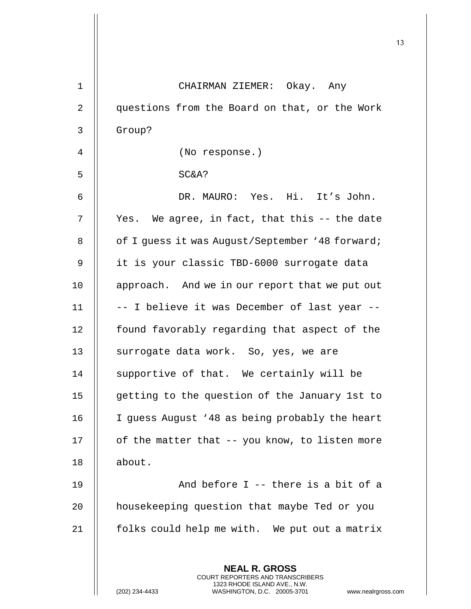| $\mathbf 1$ | CHAIRMAN ZIEMER: Okay. Any                                                                                                                                   |
|-------------|--------------------------------------------------------------------------------------------------------------------------------------------------------------|
| 2           | questions from the Board on that, or the Work                                                                                                                |
| 3           | Group?                                                                                                                                                       |
| 4           | (No response.)                                                                                                                                               |
| 5           | SC&A?                                                                                                                                                        |
| 6           | DR. MAURO: Yes. Hi. It's John.                                                                                                                               |
| 7           | Yes. We agree, in fact, that this -- the date                                                                                                                |
| 8           | of I guess it was August/September '48 forward;                                                                                                              |
| 9           | it is your classic TBD-6000 surrogate data                                                                                                                   |
| 10          | approach. And we in our report that we put out                                                                                                               |
| 11          | -- I believe it was December of last year --                                                                                                                 |
| 12          | found favorably regarding that aspect of the                                                                                                                 |
| 13          | surrogate data work. So, yes, we are                                                                                                                         |
| 14          | supportive of that. We certainly will be                                                                                                                     |
| 15          | getting to the question of the January 1st to                                                                                                                |
| 16          | I guess August '48 as being probably the heart                                                                                                               |
| 17          | of the matter that -- you know, to listen more                                                                                                               |
| 18          | about.                                                                                                                                                       |
| 19          | And before I -- there is a bit of a                                                                                                                          |
| 20          | housekeeping question that maybe Ted or you                                                                                                                  |
| 21          | folks could help me with. We put out a matrix                                                                                                                |
|             | <b>NEAL R. GROSS</b><br>COURT REPORTERS AND TRANSCRIBERS<br>1323 RHODE ISLAND AVE., N.W.<br>(202) 234-4433<br>WASHINGTON, D.C. 20005-3701<br>www.nealrgross. |

 $\mathsf{I}$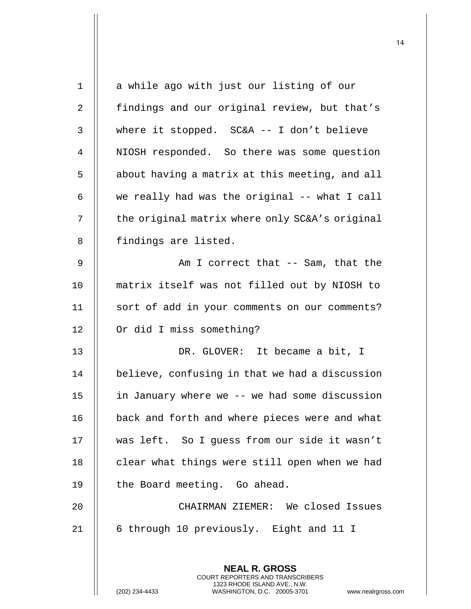| $\mathbf 1$ | a while ago with just our listing of our                                                                                                                            |
|-------------|---------------------------------------------------------------------------------------------------------------------------------------------------------------------|
| 2           | findings and our original review, but that's                                                                                                                        |
| 3           | where it stopped. $SC&A -- I don't believe$                                                                                                                         |
| 4           | NIOSH responded. So there was some question                                                                                                                         |
| 5           | about having a matrix at this meeting, and all                                                                                                                      |
| 6           | we really had was the original -- what I call                                                                                                                       |
| 7           | the original matrix where only SC&A's original                                                                                                                      |
| 8           | findings are listed.                                                                                                                                                |
| 9           | Am I correct that -- Sam, that the                                                                                                                                  |
| 10          | matrix itself was not filled out by NIOSH to                                                                                                                        |
| 11          | sort of add in your comments on our comments?                                                                                                                       |
| 12          | Or did I miss something?                                                                                                                                            |
| 13          | DR. GLOVER: It became a bit, I                                                                                                                                      |
| 14          | believe, confusing in that we had a discussion                                                                                                                      |
| 15          | in January where we -- we had some discussion                                                                                                                       |
| 16          | back and forth and where pieces were and what                                                                                                                       |
| 17          | was left. So I guess from our side it wasn't                                                                                                                        |
| 18          | clear what things were still open when we had                                                                                                                       |
| 19          | the Board meeting. Go ahead.                                                                                                                                        |
| 20          | CHAIRMAN ZIEMER: We closed Issues                                                                                                                                   |
| 21          | 6 through 10 previously. Eight and 11 I                                                                                                                             |
|             |                                                                                                                                                                     |
|             | <b>NEAL R. GROSS</b><br><b>COURT REPORTERS AND TRANSCRIBERS</b><br>1323 RHODE ISLAND AVE., N.W.<br>(202) 234-4433<br>WASHINGTON, D.C. 20005-3701<br>www.nealrgross. |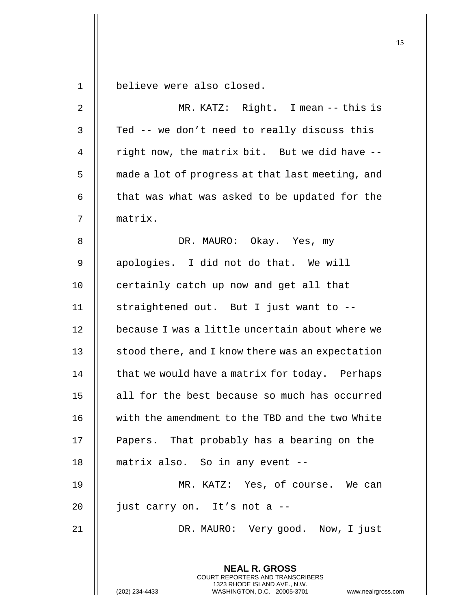**NEAL R. GROSS** COURT REPORTERS AND TRANSCRIBERS 1323 RHODE ISLAND AVE., N.W. 1 believe were also closed. 2 MR. KATZ: Right. I mean -- this is  $3$  | Ted -- we don't need to really discuss this 4  $\parallel$  right now, the matrix bit. But we did have  $-$ 5 | made a lot of progress at that last meeting, and 6  $\parallel$  that was what was asked to be updated for the 7 matrix. 8 || DR. MAURO: Okay. Yes, my 9 || apologies. I did not do that. We will 10 || certainly catch up now and get all that 11  $\parallel$  straightened out. But I just want to --12 || because I was a little uncertain about where we 13  $\parallel$  stood there, and I know there was an expectation  $14$   $\parallel$  that we would have a matrix for today. Perhaps 15 || all for the best because so much has occurred 16 with the amendment to the TBD and the two White 17 || Papers. That probably has a bearing on the 18 matrix also. So in any event -- 19 MR. KATZ: Yes, of course. We can 20  $\parallel$  just carry on. It's not a --21 || DR. MAURO: Very good. Now, I just

(202) 234-4433 WASHINGTON, D.C. 20005-3701 www.nealrgross.com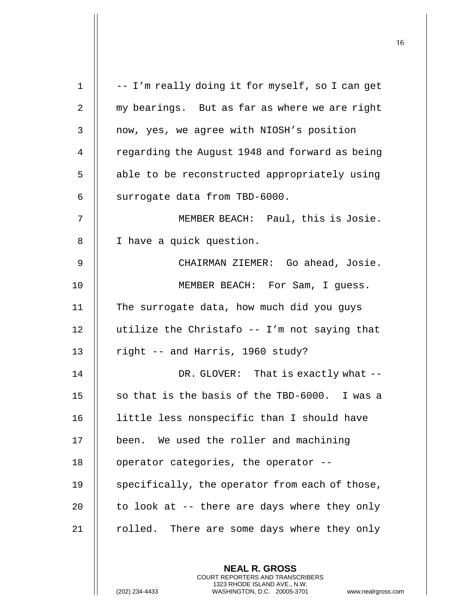$1 \parallel -I$ 'm really doing it for myself, so I can get 2 my bearings. But as far as where we are right 3 | now, yes, we agree with NIOSH's position 4 | regarding the August 1948 and forward as being 5 | able to be reconstructed appropriately using  $6$  | surrogate data from TBD-6000. 7 MEMBER BEACH: Paul, this is Josie. 8 | I have a quick question. 9 CHAIRMAN ZIEMER: Go ahead, Josie. 10 || MEMBER BEACH: For Sam, I quess. 11 The surrogate data, how much did you guys 12  $\parallel$  utilize the Christafo -- I'm not saying that 13  $\parallel$  right -- and Harris, 1960 study? 14 || DR. GLOVER: That is exactly what --15  $\parallel$  so that is the basis of the TBD-6000. I was a 16 | little less nonspecific than I should have 17 || been. We used the roller and machining  $18$  || operator categories, the operator  $-$ -19 || specifically, the operator from each of those, 20  $\parallel$  to look at -- there are days where they only 21  $\parallel$  rolled. There are some days where they only

> **NEAL R. GROSS** COURT REPORTERS AND TRANSCRIBERS 1323 RHODE ISLAND AVE., N.W.

(202) 234-4433 WASHINGTON, D.C. 20005-3701 www.nealrgross.com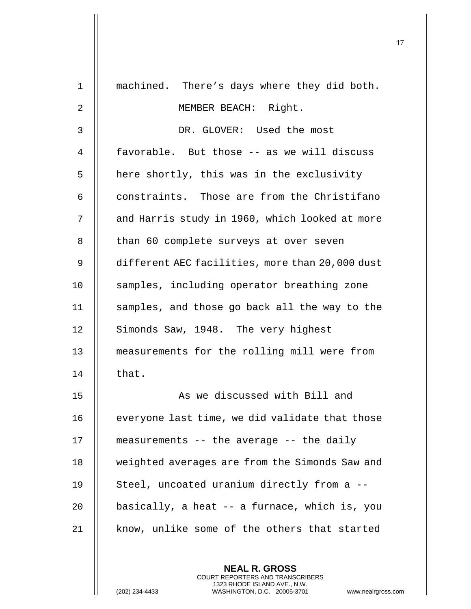| $\mathbf 1$    | machined. There's days where they did both.     |
|----------------|-------------------------------------------------|
| $\overline{2}$ | MEMBER BEACH: Right.                            |
| 3              | DR. GLOVER: Used the most                       |
| 4              | favorable. But those -- as we will discuss      |
| 5              | here shortly, this was in the exclusivity       |
| 6              | constraints. Those are from the Christifano     |
| 7              | and Harris study in 1960, which looked at more  |
| 8              | than 60 complete surveys at over seven          |
| 9              | different AEC facilities, more than 20,000 dust |
| 10             | samples, including operator breathing zone      |
| 11             | samples, and those go back all the way to the   |
| 12             | Simonds Saw, 1948. The very highest             |
| 13             | measurements for the rolling mill were from     |
| 14             | that.                                           |
| 15             | As we discussed with Bill and                   |
| 16             | everyone last time, we did validate that those  |
| 17             | measurements -- the average -- the daily        |
| 18             | weighted averages are from the Simonds Saw and  |
| 19             | Steel, uncoated uranium directly from a --      |
| 20             | basically, a heat -- a furnace, which is, you   |
| 21             | know, unlike some of the others that started    |
|                |                                                 |

**NEAL R. GROSS** COURT REPORTERS AND TRANSCRIBERS 1323 RHODE ISLAND AVE., N.W.

(202) 234-4433 WASHINGTON, D.C. 20005-3701 www.nealrgross.com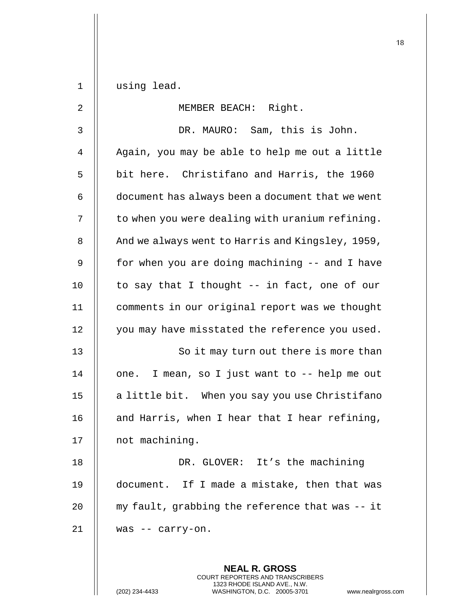1 using lead.

| $\overline{2}$ | MEMBER BEACH: Right.                                                                                |
|----------------|-----------------------------------------------------------------------------------------------------|
| 3              | DR. MAURO: Sam, this is John.                                                                       |
| $\overline{4}$ | Again, you may be able to help me out a little                                                      |
| 5              | bit here. Christifano and Harris, the 1960                                                          |
| 6              | document has always been a document that we went                                                    |
| 7              | to when you were dealing with uranium refining.                                                     |
| 8              | And we always went to Harris and Kingsley, 1959,                                                    |
| 9              | for when you are doing machining -- and I have                                                      |
| 10             | to say that I thought -- in fact, one of our                                                        |
| 11             | comments in our original report was we thought                                                      |
| 12             | you may have misstated the reference you used.                                                      |
| 13             | So it may turn out there is more than                                                               |
| 14             | one. I mean, so I just want to -- help me out                                                       |
| 15             | a little bit. When you say you use Christifano                                                      |
| 16             | and Harris, when I hear that I hear refining,                                                       |
| 17             | not machining.                                                                                      |
| 18             | DR. GLOVER: It's the machining                                                                      |
| 19             | document. If I made a mistake, then that was                                                        |
| 20             | my fault, grabbing the reference that was -- it                                                     |
| 21             | was -- carry-on.                                                                                    |
|                |                                                                                                     |
|                | <b>NEAL R. GROSS</b><br>COURT REPORTERS AND TRANSCRIBERS                                            |
|                | 1323 RHODE ISLAND AVE., N.W.<br>(202) 234-4433<br>WASHINGTON, D.C. 20005-3701<br>www.nealrgross.com |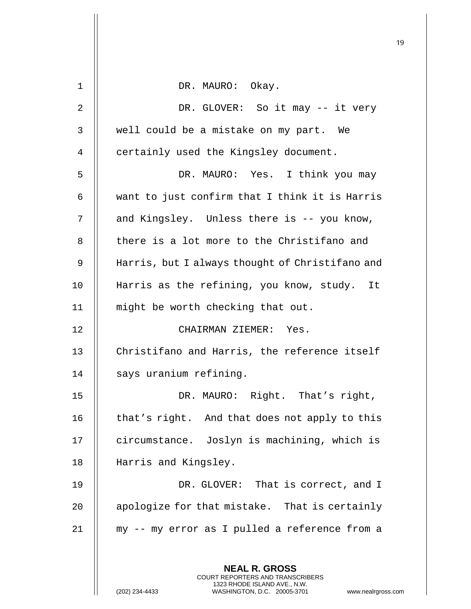|    |                                                                                                                                                                        | IJ |
|----|------------------------------------------------------------------------------------------------------------------------------------------------------------------------|----|
| 1  | DR. MAURO: Okay.                                                                                                                                                       |    |
|    |                                                                                                                                                                        |    |
| 2  | DR. GLOVER: So it may -- it very                                                                                                                                       |    |
| 3  | well could be a mistake on my part. We                                                                                                                                 |    |
| 4  | certainly used the Kingsley document.                                                                                                                                  |    |
| 5  | DR. MAURO: Yes. I think you may                                                                                                                                        |    |
| 6  | want to just confirm that I think it is Harris                                                                                                                         |    |
| 7  | and Kingsley. Unless there is -- you know,                                                                                                                             |    |
| 8  | there is a lot more to the Christifano and                                                                                                                             |    |
| 9  | Harris, but I always thought of Christifano and                                                                                                                        |    |
| 10 | Harris as the refining, you know, study. It                                                                                                                            |    |
| 11 | might be worth checking that out.                                                                                                                                      |    |
| 12 | CHAIRMAN ZIEMER: Yes.                                                                                                                                                  |    |
| 13 | Christifano and Harris, the reference itself                                                                                                                           |    |
| 14 | says uranium refining.                                                                                                                                                 |    |
| 15 | DR. MAURO: Right. That's right,                                                                                                                                        |    |
| 16 | that's right. And that does not apply to this                                                                                                                          |    |
| 17 | circumstance. Joslyn is machining, which is                                                                                                                            |    |
| 18 | Harris and Kingsley.                                                                                                                                                   |    |
| 19 | DR. GLOVER: That is correct, and I                                                                                                                                     |    |
| 20 | apologize for that mistake. That is certainly                                                                                                                          |    |
| 21 | my -- my error as I pulled a reference from a                                                                                                                          |    |
|    | <b>NEAL R. GROSS</b><br><b>COURT REPORTERS AND TRANSCRIBERS</b><br>1323 RHODE ISLAND AVE., N.W.<br>(202) 234-4433<br>WASHINGTON, D.C. 20005-3701<br>www.nealrgross.com |    |

 $\mathsf{I}$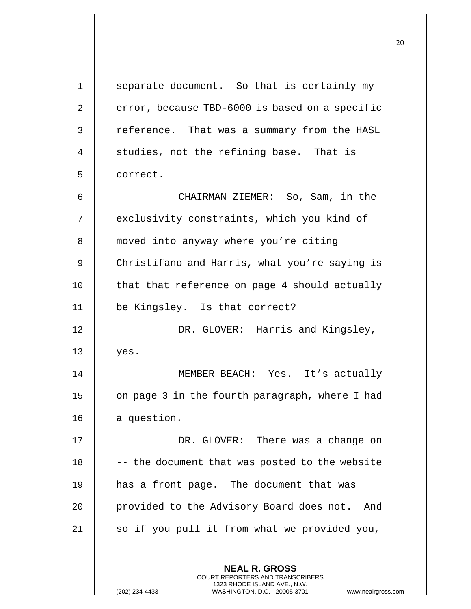**NEAL R. GROSS** COURT REPORTERS AND TRANSCRIBERS 1 | separate document. So that is certainly my 2  $\parallel$  error, because TBD-6000 is based on a specific 3 | reference. That was a summary from the HASL 4 || studies, not the refining base. That is 5 | correct. 6 CHAIRMAN ZIEMER: So, Sam, in the 7 || exclusivity constraints, which you kind of 8 | moved into anyway where you're citing 9 | Christifano and Harris, what you're saying is 10 || that that reference on page 4 should actually 11 be Kingsley. Is that correct? 12 || DR. GLOVER: Harris and Kingsley,  $13$  | yes. 14 MEMBER BEACH: Yes. It's actually 15 | on page 3 in the fourth paragraph, where I had 16  $\parallel$  a question. 17 DR. GLOVER: There was a change on  $18$   $\vert$  -- the document that was posted to the website 19 has a front page. The document that was 20 | provided to the Advisory Board does not. And 21  $\parallel$  so if you pull it from what we provided you,

1323 RHODE ISLAND AVE., N.W.

(202) 234-4433 WASHINGTON, D.C. 20005-3701 www.nealrgross.com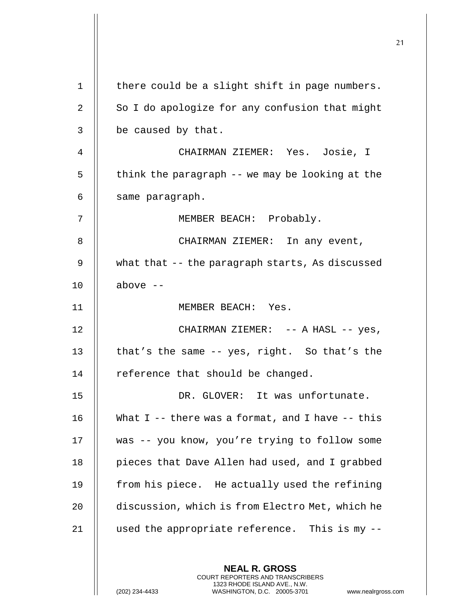|    |                                                                                                                                                                        | 21 |
|----|------------------------------------------------------------------------------------------------------------------------------------------------------------------------|----|
|    |                                                                                                                                                                        |    |
| 1  | there could be a slight shift in page numbers.                                                                                                                         |    |
| 2  | So I do apologize for any confusion that might                                                                                                                         |    |
| 3  | be caused by that.                                                                                                                                                     |    |
| 4  | CHAIRMAN ZIEMER: Yes. Josie, I                                                                                                                                         |    |
| 5  | think the paragraph -- we may be looking at the                                                                                                                        |    |
| 6  | same paragraph.                                                                                                                                                        |    |
| 7  | MEMBER BEACH: Probably.                                                                                                                                                |    |
| 8  | CHAIRMAN ZIEMER: In any event,                                                                                                                                         |    |
| 9  | what that -- the paragraph starts, As discussed                                                                                                                        |    |
| 10 | above $--$                                                                                                                                                             |    |
| 11 | MEMBER BEACH: Yes.                                                                                                                                                     |    |
| 12 | CHAIRMAN ZIEMER: -- A HASL -- yes,                                                                                                                                     |    |
| 13 | that's the same -- yes, right. So that's the                                                                                                                           |    |
| 14 | reference that should be changed.                                                                                                                                      |    |
| 15 | DR. GLOVER: It was unfortunate.                                                                                                                                        |    |
| 16 | What $I$ -- there was a format, and I have -- this                                                                                                                     |    |
| 17 | was -- you know, you're trying to follow some                                                                                                                          |    |
| 18 | pieces that Dave Allen had used, and I grabbed                                                                                                                         |    |
| 19 | from his piece. He actually used the refining                                                                                                                          |    |
| 20 | discussion, which is from Electro Met, which he                                                                                                                        |    |
| 21 | used the appropriate reference. This is my --                                                                                                                          |    |
|    | <b>NEAL R. GROSS</b><br><b>COURT REPORTERS AND TRANSCRIBERS</b><br>1323 RHODE ISLAND AVE., N.W.<br>(202) 234-4433<br>WASHINGTON, D.C. 20005-3701<br>www.nealrgross.com |    |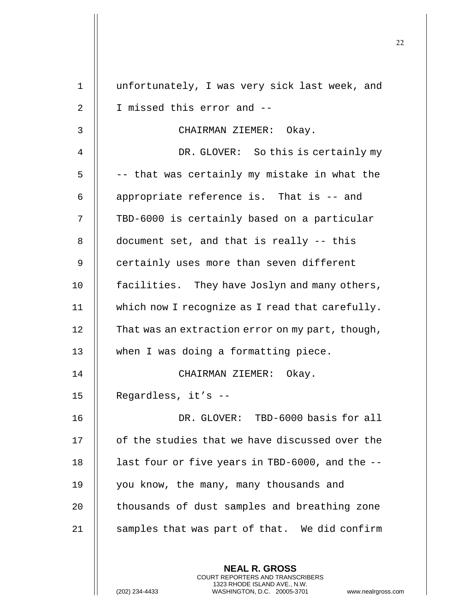| $\mathbf 1$ | unfortunately, I was very sick last week, and                                                                                                                       |
|-------------|---------------------------------------------------------------------------------------------------------------------------------------------------------------------|
| 2           | I missed this error and --                                                                                                                                          |
| 3           | CHAIRMAN ZIEMER: Okay.                                                                                                                                              |
| 4           | DR. GLOVER: So this is certainly my                                                                                                                                 |
| 5           | -- that was certainly my mistake in what the                                                                                                                        |
| 6           | appropriate reference is. That is -- and                                                                                                                            |
| 7           | TBD-6000 is certainly based on a particular                                                                                                                         |
| 8           | document set, and that is really -- this                                                                                                                            |
| 9           | certainly uses more than seven different                                                                                                                            |
| 10          | facilities. They have Joslyn and many others,                                                                                                                       |
| 11          | which now I recognize as I read that carefully.                                                                                                                     |
| 12          | That was an extraction error on my part, though,                                                                                                                    |
| 13          | when I was doing a formatting piece.                                                                                                                                |
| 14          | CHAIRMAN ZIEMER: Okay.                                                                                                                                              |
| 15          | Regardless, it's --                                                                                                                                                 |
| 16          | DR. GLOVER: TBD-6000 basis for all                                                                                                                                  |
| 17          | of the studies that we have discussed over the                                                                                                                      |
| 18          | last four or five years in TBD-6000, and the --                                                                                                                     |
| 19          | you know, the many, many thousands and                                                                                                                              |
| 20          | thousands of dust samples and breathing zone                                                                                                                        |
| 21          | samples that was part of that. We did confirm                                                                                                                       |
|             | <b>NEAL R. GROSS</b><br><b>COURT REPORTERS AND TRANSCRIBERS</b><br>1323 RHODE ISLAND AVE., N.W.<br>WASHINGTON, D.C. 20005-3701<br>(202) 234-4433<br>www.nealrgross. |

 $\mathbf{I}$  $\mathsf{l}\mathsf{l}$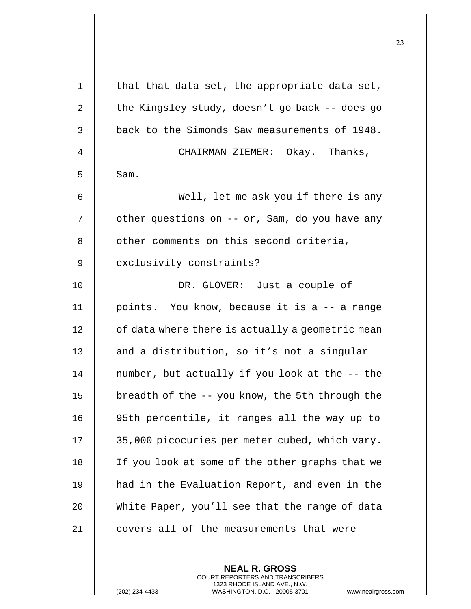| $\mathbf 1$ | that that data set, the appropriate data set,    |
|-------------|--------------------------------------------------|
| 2           | the Kingsley study, doesn't go back -- does go   |
| 3           | back to the Simonds Saw measurements of 1948.    |
| 4           | CHAIRMAN ZIEMER: Okay. Thanks,                   |
| 5           | Sam.                                             |
| 6           | Well, let me ask you if there is any             |
| 7           | other questions on -- or, Sam, do you have any   |
| 8           | other comments on this second criteria,          |
| 9           | exclusivity constraints?                         |
| 10          | DR. GLOVER: Just a couple of                     |
| 11          | points. You know, because it is a -- a range     |
| 12          | of data where there is actually a geometric mean |
| 13          | and a distribution, so it's not a singular       |
| 14          | number, but actually if you look at the -- the   |
| 15          | breadth of the -- you know, the 5th through the  |
| 16          | 95th percentile, it ranges all the way up to     |
| 17          | 35,000 picocuries per meter cubed, which vary.   |
| 18          | If you look at some of the other graphs that we  |
| 19          | had in the Evaluation Report, and even in the    |
| 20          | White Paper, you'll see that the range of data   |
| 21          | covers all of the measurements that were         |
|             |                                                  |

**NEAL R. GROSS** COURT REPORTERS AND TRANSCRIBERS 1323 RHODE ISLAND AVE., N.W.

(202) 234-4433 WASHINGTON, D.C. 20005-3701 www.nealrgross.com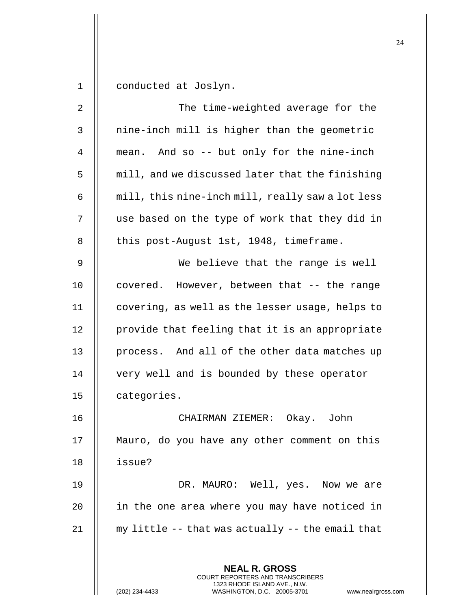1 conducted at Joslyn.

| 2  | The time-weighted average for the                                                               |
|----|-------------------------------------------------------------------------------------------------|
| 3  | nine-inch mill is higher than the geometric                                                     |
| 4  | mean. And so -- but only for the nine-inch                                                      |
| 5  | mill, and we discussed later that the finishing                                                 |
| 6  | mill, this nine-inch mill, really saw a lot less                                                |
| 7  | use based on the type of work that they did in                                                  |
| 8  | this post-August 1st, 1948, timeframe.                                                          |
| 9  | We believe that the range is well                                                               |
| 10 | covered. However, between that -- the range                                                     |
| 11 | covering, as well as the lesser usage, helps to                                                 |
| 12 | provide that feeling that it is an appropriate                                                  |
| 13 | process. And all of the other data matches up                                                   |
| 14 | very well and is bounded by these operator                                                      |
| 15 | categories.                                                                                     |
| 16 | Okay. John<br>CHAIRMAN ZIEMER:                                                                  |
| 17 | Mauro, do you have any other comment on this                                                    |
| 18 | issue?                                                                                          |
| 19 | DR. MAURO: Well, yes. Now we are                                                                |
| 20 | in the one area where you may have noticed in                                                   |
| 21 | my little -- that was actually -- the email that                                                |
|    |                                                                                                 |
|    | <b>NEAL R. GROSS</b><br><b>COURT REPORTERS AND TRANSCRIBERS</b>                                 |
|    | 1323 RHODE ISLAND AVE., N.W.<br>(202) 234-4433<br>WASHINGTON, D.C. 20005-3701<br>www.nealrgross |

(202) 234-4433 WASHINGTON, D.C. 20005-3701 www.nealrgross.com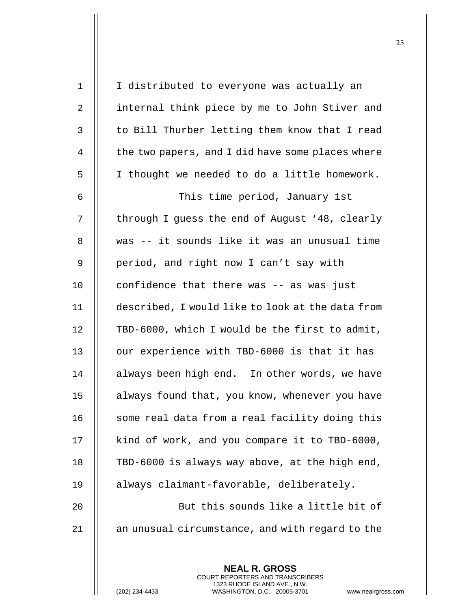| $\mathbf{1}$ | I distributed to everyone was actually an                |
|--------------|----------------------------------------------------------|
| 2            | internal think piece by me to John Stiver and            |
| 3            | to Bill Thurber letting them know that I read            |
| 4            | the two papers, and I did have some places where         |
| 5            | I thought we needed to do a little homework.             |
| 6            | This time period, January 1st                            |
| 7            | through I guess the end of August '48, clearly           |
| 8            | was -- it sounds like it was an unusual time             |
| $\mathsf 9$  | period, and right now I can't say with                   |
| 10           | confidence that there was -- as was just                 |
| 11           | described, I would like to look at the data from         |
| 12           | TBD-6000, which I would be the first to admit,           |
| 13           | our experience with TBD-6000 is that it has              |
| 14           | always been high end. In other words, we have            |
| 15           | always found that, you know, whenever you have           |
| 16           | some real data from a real facility doing this           |
| 17           | kind of work, and you compare it to TBD-6000,            |
| 18           | TBD-6000 is always way above, at the high end,           |
| 19           | always claimant-favorable, deliberately.                 |
| 20           | But this sounds like a little bit of                     |
| 21           | an unusual circumstance, and with regard to the          |
|              |                                                          |
|              | <b>NEAL R. GROSS</b><br>COURT REPORTERS AND TRANSCRIBERS |

1323 RHODE ISLAND AVE., N.W.

 $\prod$ 

(202) 234-4433 WASHINGTON, D.C. 20005-3701 www.nealrgross.com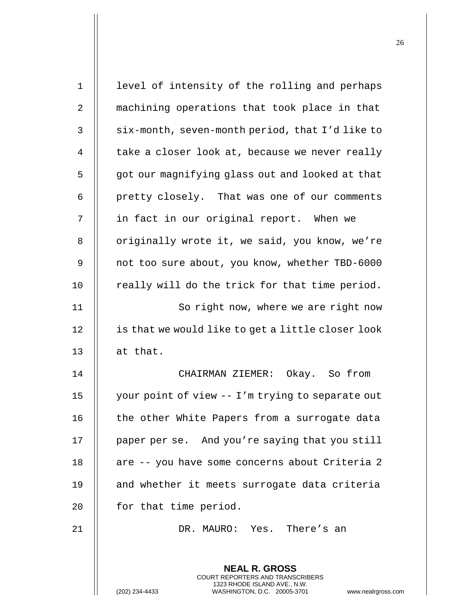| 1  | level of intensity of the rolling and perhaps                                                   |
|----|-------------------------------------------------------------------------------------------------|
| 2  | machining operations that took place in that                                                    |
| 3  | six-month, seven-month period, that I'd like to                                                 |
| 4  | take a closer look at, because we never really                                                  |
| 5  | got our magnifying glass out and looked at that                                                 |
| 6  | pretty closely. That was one of our comments                                                    |
| 7  | in fact in our original report. When we                                                         |
| 8  | originally wrote it, we said, you know, we're                                                   |
| 9  | not too sure about, you know, whether TBD-6000                                                  |
| 10 | really will do the trick for that time period.                                                  |
| 11 | So right now, where we are right now                                                            |
| 12 | is that we would like to get a little closer look                                               |
| 13 | at that.                                                                                        |
| 14 | CHAIRMAN ZIEMER: Okay. So from                                                                  |
| 15 | your point of view -- I'm trying to separate out                                                |
| 16 | the other White Papers from a surrogate data                                                    |
| 17 | paper per se. And you're saying that you still                                                  |
| 18 | are -- you have some concerns about Criteria 2                                                  |
| 19 | and whether it meets surrogate data criteria                                                    |
| 20 | for that time period.                                                                           |
| 21 | DR. MAURO: Yes. There's an                                                                      |
|    |                                                                                                 |
|    | <b>NEAL R. GROSS</b><br><b>COURT REPORTERS AND TRANSCRIBERS</b>                                 |
|    | 1323 RHODE ISLAND AVE., N.W.<br>WASHINGTON, D.C. 20005-3701<br>(202) 234-4433<br>www.nealrgross |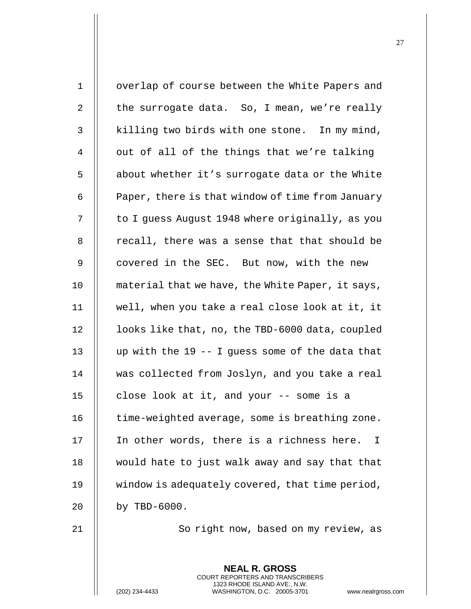| $\mathbf 1$ | overlap of course between the White Papers and   |
|-------------|--------------------------------------------------|
| 2           | the surrogate data. So, I mean, we're really     |
| 3           | killing two birds with one stone. In my mind,    |
| 4           | out of all of the things that we're talking      |
| 5           | about whether it's surrogate data or the White   |
| 6           | Paper, there is that window of time from January |
| 7           | to I guess August 1948 where originally, as you  |
| 8           | recall, there was a sense that that should be    |
| 9           | covered in the SEC. But now, with the new        |
| 10          | material that we have, the White Paper, it says, |
| 11          | well, when you take a real close look at it, it  |
| 12          | looks like that, no, the TBD-6000 data, coupled  |
| 13          | up with the 19 -- I guess some of the data that  |
| 14          | was collected from Joslyn, and you take a real   |
| 15          | close look at it, and your -- some is a          |
| 16          | time-weighted average, some is breathing zone.   |
| 17          | In other words, there is a richness here.<br>I   |
| 18          | would hate to just walk away and say that that   |
| 19          | window is adequately covered, that time period,  |
| 20          | by TBD-6000.                                     |
| 21          | So right now, based on my review, as             |
|             |                                                  |
|             | <b>NEAL R. GROSS</b>                             |

COURT REPORTERS AND TRANSCRIBERS 1323 RHODE ISLAND AVE., N.W.

 $\mathsf{I}$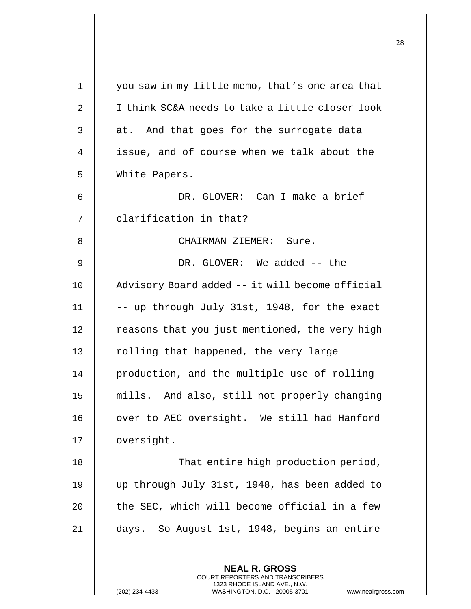| $\mathbf 1$    | you saw in my little memo, that's one area that                                                                                                                     |
|----------------|---------------------------------------------------------------------------------------------------------------------------------------------------------------------|
| 2              | I think SC&A needs to take a little closer look                                                                                                                     |
| 3              | at. And that goes for the surrogate data                                                                                                                            |
| $\overline{4}$ | issue, and of course when we talk about the                                                                                                                         |
| 5              | White Papers.                                                                                                                                                       |
| 6              | DR. GLOVER: Can I make a brief                                                                                                                                      |
| 7              | clarification in that?                                                                                                                                              |
| 8              | CHAIRMAN ZIEMER: Sure.                                                                                                                                              |
| 9              | DR. GLOVER: We added -- the                                                                                                                                         |
| 10             | Advisory Board added -- it will become official                                                                                                                     |
| 11             | -- up through July 31st, 1948, for the exact                                                                                                                        |
| 12             | reasons that you just mentioned, the very high                                                                                                                      |
| 13             | rolling that happened, the very large                                                                                                                               |
| 14             | production, and the multiple use of rolling                                                                                                                         |
| 15             | mills. And also, still not properly changing                                                                                                                        |
| 16             | over to AEC oversight. We still had Hanford                                                                                                                         |
| 17             | oversight.                                                                                                                                                          |
| 18             | That entire high production period,                                                                                                                                 |
| 19             | up through July 31st, 1948, has been added to                                                                                                                       |
| 20             | the SEC, which will become official in a few                                                                                                                        |
| 21             | days. So August 1st, 1948, begins an entire                                                                                                                         |
|                | <b>NEAL R. GROSS</b><br><b>COURT REPORTERS AND TRANSCRIBERS</b><br>1323 RHODE ISLAND AVE., N.W.<br>WASHINGTON, D.C. 20005-3701<br>(202) 234-4433<br>www.nealrgross. |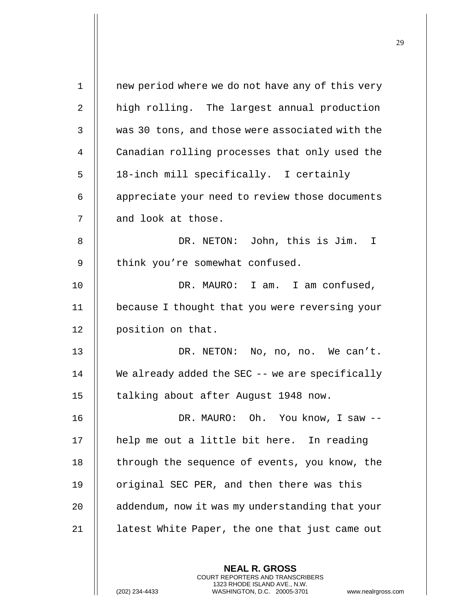| $\mathbf{1}$ | new period where we do not have any of this very   |
|--------------|----------------------------------------------------|
| 2            | high rolling. The largest annual production        |
| 3            | was 30 tons, and those were associated with the    |
| 4            | Canadian rolling processes that only used the      |
| 5            | 18-inch mill specifically. I certainly             |
| 6            | appreciate your need to review those documents     |
| 7            | and look at those.                                 |
| 8            | DR. NETON: John, this is Jim. I                    |
| 9            | think you're somewhat confused.                    |
| 10           | DR. MAURO: I am. I am confused,                    |
| 11           | because I thought that you were reversing your     |
| 12           | position on that.                                  |
| 13           | DR. NETON: No, no, no. We can't.                   |
| 14           | We already added the SEC $-$ - we are specifically |
| 15           | talking about after August 1948 now.               |
| 16           | DR. MAURO: Oh. You know, I saw --                  |
| 17           | help me out a little bit here. In reading          |
| 18           | through the sequence of events, you know, the      |
| 19           | original SEC PER, and then there was this          |
| 20           | addendum, now it was my understanding that your    |
| 21           | latest White Paper, the one that just came out     |
|              |                                                    |

**NEAL R. GROSS** COURT REPORTERS AND TRANSCRIBERS 1323 RHODE ISLAND AVE., N.W.

(202) 234-4433 WASHINGTON, D.C. 20005-3701 www.nealrgross.com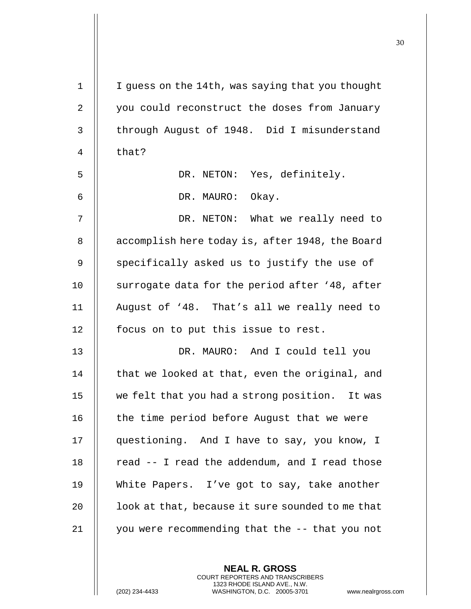| $\mathbf 1$ | I guess on the 14th, was saying that you thought |
|-------------|--------------------------------------------------|
| 2           | you could reconstruct the doses from January     |
| 3           | through August of 1948. Did I misunderstand      |
| 4           | that?                                            |
| 5           | DR. NETON: Yes, definitely.                      |
| 6           | DR. MAURO: Okay.                                 |
| 7           | DR. NETON: What we really need to                |
| 8           | accomplish here today is, after 1948, the Board  |
| $\mathsf 9$ | specifically asked us to justify the use of      |
| 10          | surrogate data for the period after '48, after   |
| 11          | August of '48. That's all we really need to      |
| 12          | focus on to put this issue to rest.              |
| 13          | DR. MAURO: And I could tell you                  |
| 14          | that we looked at that, even the original, and   |
| 15          | we felt that you had a strong position. It was   |
| 16          | the time period before August that we were       |
| 17          | questioning. And I have to say, you know, I      |
| 18          | read -- I read the addendum, and I read those    |
| 19          | White Papers. I've got to say, take another      |
| 20          | look at that, because it sure sounded to me that |
| 21          | you were recommending that the -- that you not   |
|             |                                                  |

**NEAL R. GROSS** COURT REPORTERS AND TRANSCRIBERS 1323 RHODE ISLAND AVE., N.W.

(202) 234-4433 WASHINGTON, D.C. 20005-3701 www.nealrgross.com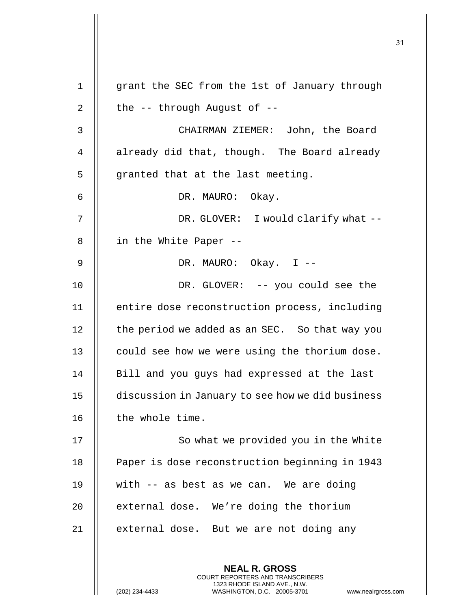| $\mathbf{1}$ | grant the SEC from the 1st of January through    |
|--------------|--------------------------------------------------|
| 2            | the -- through August of --                      |
| 3            | CHAIRMAN ZIEMER: John, the Board                 |
| 4            | already did that, though. The Board already      |
| 5            | granted that at the last meeting.                |
| 6            | DR. MAURO: Okay.                                 |
| 7            | DR. GLOVER: I would clarify what --              |
| 8            | in the White Paper --                            |
| 9            | DR. MAURO: Okay. I --                            |
| 10           | DR. GLOVER: -- you could see the                 |
| 11           | entire dose reconstruction process, including    |
| 12           | the period we added as an SEC. So that way you   |
| 13           | could see how we were using the thorium dose.    |
| 14           | Bill and you guys had expressed at the last      |
| 15           | discussion in January to see how we did business |
| 16           | the whole time.                                  |
| 17           | So what we provided you in the White             |
| 18           | Paper is dose reconstruction beginning in 1943   |
| 19           | with -- as best as we can. We are doing          |
| 20           | external dose. We're doing the thorium           |
| 21           | external dose. But we are not doing any          |
|              |                                                  |
|              | <b>NEAL R. GROSS</b>                             |

COURT REPORTERS AND TRANSCRIBERS 1323 RHODE ISLAND AVE., N.W.

(202) 234-4433 WASHINGTON, D.C. 20005-3701 www.nealrgross.com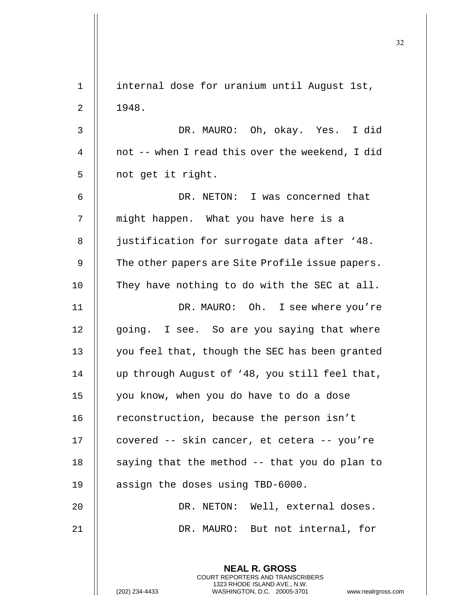| $\mathbf 1$ | internal dose for uranium until August 1st,                                                                                                                         |
|-------------|---------------------------------------------------------------------------------------------------------------------------------------------------------------------|
| 2           | 1948.                                                                                                                                                               |
| 3           | DR. MAURO: Oh, okay. Yes. I did                                                                                                                                     |
| 4           | not -- when I read this over the weekend, I did                                                                                                                     |
| 5           | not get it right.                                                                                                                                                   |
| 6           | DR. NETON: I was concerned that                                                                                                                                     |
| 7           | might happen. What you have here is a                                                                                                                               |
| 8           | justification for surrogate data after '48.                                                                                                                         |
| 9           | The other papers are Site Profile issue papers.                                                                                                                     |
| 10          | They have nothing to do with the SEC at all.                                                                                                                        |
| 11          | DR. MAURO: Oh. I see where you're                                                                                                                                   |
| 12          | going. I see. So are you saying that where                                                                                                                          |
| 13          | you feel that, though the SEC has been granted                                                                                                                      |
| 14          | up through August of '48, you still feel that,                                                                                                                      |
| 15          | you know, when you do have to do a dose                                                                                                                             |
| 16          | reconstruction, because the person isn't                                                                                                                            |
| 17          | covered -- skin cancer, et cetera -- you're                                                                                                                         |
| 18          | saying that the method -- that you do plan to                                                                                                                       |
| 19          | assign the doses using TBD-6000.                                                                                                                                    |
| 20          | DR. NETON: Well, external doses.                                                                                                                                    |
| 21          | DR. MAURO: But not internal, for                                                                                                                                    |
|             | <b>NEAL R. GROSS</b><br><b>COURT REPORTERS AND TRANSCRIBERS</b><br>1323 RHODE ISLAND AVE., N.W.<br>WASHINGTON, D.C. 20005-3701<br>(202) 234-4433<br>www.nealrgross. |

 $\begin{array}{c} \hline \end{array}$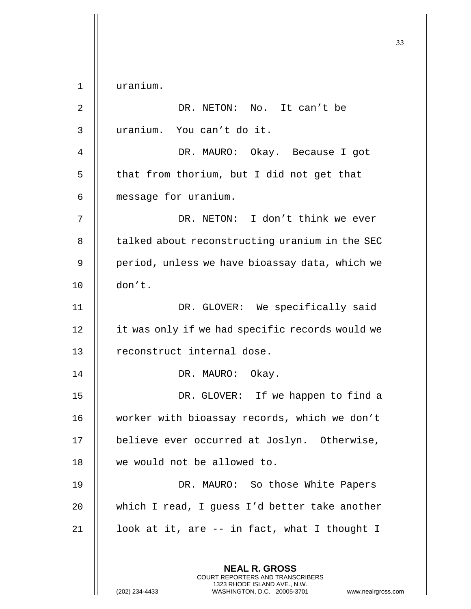**NEAL R. GROSS** COURT REPORTERS AND TRANSCRIBERS 1323 RHODE ISLAND AVE., N.W. (202) 234-4433 WASHINGTON, D.C. 20005-3701 www.nealrgross.com 1 uranium. 2 DR. NETON: No. It can't be 3 uranium. You can't do it. 4 DR. MAURO: Okay. Because I got  $5$  || that from thorium, but I did not get that 6 message for uranium. 7 DR. NETON: I don't think we ever 8 | talked about reconstructing uranium in the SEC 9 || period, unless we have bioassay data, which we 10 don't. 11 || DR. GLOVER: We specifically said 12 | it was only if we had specific records would we 13 || reconstruct internal dose. 14 || DR. MAURO: Okay. 15 || DR. GLOVER: If we happen to find a 16 | worker with bioassay records, which we don't 17 || believe ever occurred at Joslyn. Otherwise, 18 we would not be allowed to. 19 || DR. MAURO: So those White Papers 20 || which I read, I guess I'd better take another 21  $\parallel$  100k at it, are -- in fact, what I thought I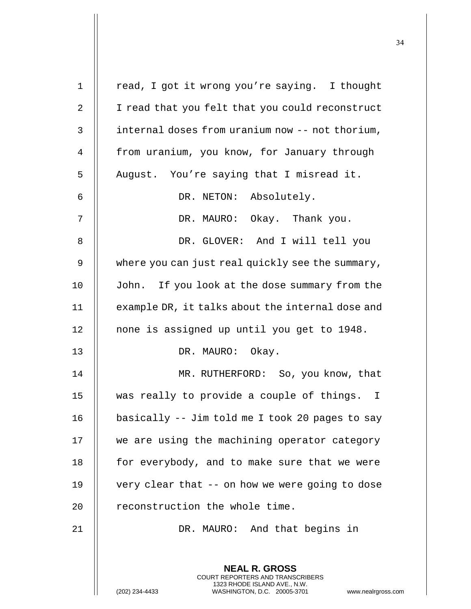| $\mathbf 1$    | read, I got it wrong you're saying. I thought                                                                                                                |
|----------------|--------------------------------------------------------------------------------------------------------------------------------------------------------------|
| $\sqrt{2}$     | I read that you felt that you could reconstruct                                                                                                              |
| 3              | internal doses from uranium now -- not thorium,                                                                                                              |
| $\overline{4}$ | from uranium, you know, for January through                                                                                                                  |
| 5              | August. You're saying that I misread it.                                                                                                                     |
| 6              | DR. NETON: Absolutely.                                                                                                                                       |
| 7              | DR. MAURO: Okay. Thank you.                                                                                                                                  |
| 8              | DR. GLOVER: And I will tell you                                                                                                                              |
| 9              | where you can just real quickly see the summary,                                                                                                             |
| 10             | John. If you look at the dose summary from the                                                                                                               |
| 11             | example DR, it talks about the internal dose and                                                                                                             |
| 12             | none is assigned up until you get to 1948.                                                                                                                   |
| 13             | DR. MAURO: Okay.                                                                                                                                             |
| 14             | MR. RUTHERFORD: So, you know, that                                                                                                                           |
| 15             | was really to provide a couple of things. I                                                                                                                  |
| 16             | basically -- Jim told me I took 20 pages to say                                                                                                              |
| 17             | we are using the machining operator category                                                                                                                 |
| 18             | for everybody, and to make sure that we were                                                                                                                 |
| 19             | very clear that -- on how we were going to dose                                                                                                              |
| 20             | reconstruction the whole time.                                                                                                                               |
| 21             | DR. MAURO: And that begins in                                                                                                                                |
|                |                                                                                                                                                              |
|                | <b>NEAL R. GROSS</b><br>COURT REPORTERS AND TRANSCRIBERS<br>1323 RHODE ISLAND AVE., N.W.<br>(202) 234-4433<br>WASHINGTON, D.C. 20005-3701<br>www.nealrgross. |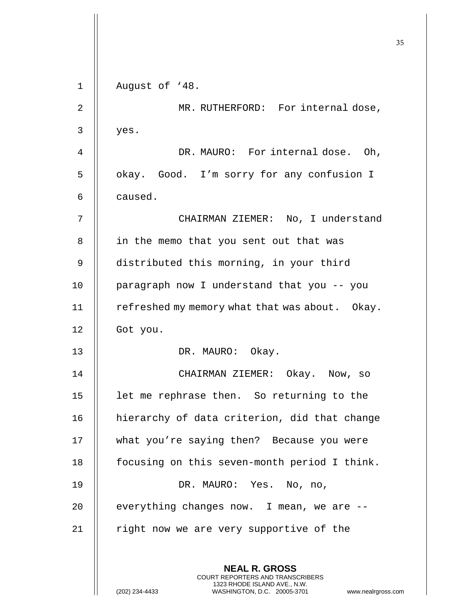|    |                                                                                                                                                                        | 35 |
|----|------------------------------------------------------------------------------------------------------------------------------------------------------------------------|----|
|    |                                                                                                                                                                        |    |
| 1  | August of '48.                                                                                                                                                         |    |
| 2  | MR. RUTHERFORD: For internal dose,                                                                                                                                     |    |
| 3  | yes.                                                                                                                                                                   |    |
| 4  | DR. MAURO: For internal dose. Oh,                                                                                                                                      |    |
| 5  | okay. Good. I'm sorry for any confusion I                                                                                                                              |    |
| 6  | caused.                                                                                                                                                                |    |
| 7  | CHAIRMAN ZIEMER: No, I understand                                                                                                                                      |    |
| 8  | in the memo that you sent out that was                                                                                                                                 |    |
| 9  | distributed this morning, in your third                                                                                                                                |    |
| 10 | paragraph now I understand that you -- you                                                                                                                             |    |
| 11 | refreshed my memory what that was about. Okay.                                                                                                                         |    |
| 12 | Got you.                                                                                                                                                               |    |
| 13 | DR. MAURO:<br>Okay.                                                                                                                                                    |    |
| 14 | CHAIRMAN ZIEMER: Okay. Now, so                                                                                                                                         |    |
| 15 | let me rephrase then. So returning to the                                                                                                                              |    |
| 16 | hierarchy of data criterion, did that change                                                                                                                           |    |
| 17 | what you're saying then? Because you were                                                                                                                              |    |
| 18 | focusing on this seven-month period I think.                                                                                                                           |    |
| 19 | DR. MAURO: Yes. No, no,                                                                                                                                                |    |
| 20 | everything changes now. I mean, we are --                                                                                                                              |    |
| 21 | right now we are very supportive of the                                                                                                                                |    |
|    |                                                                                                                                                                        |    |
|    | <b>NEAL R. GROSS</b><br><b>COURT REPORTERS AND TRANSCRIBERS</b><br>1323 RHODE ISLAND AVE., N.W.<br>(202) 234-4433<br>WASHINGTON, D.C. 20005-3701<br>www.nealrgross.com |    |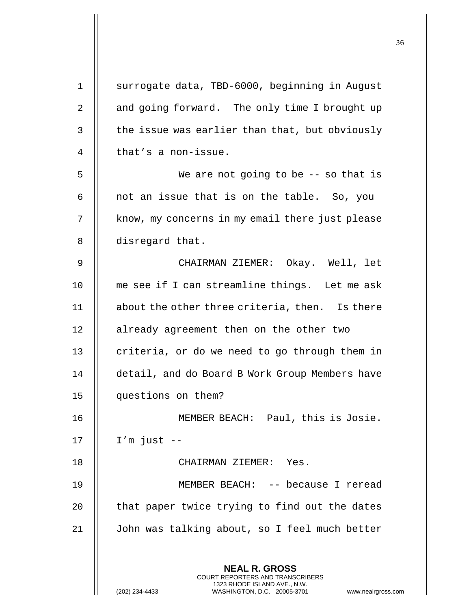| 1  | surrogate data, TBD-6000, beginning in August                                                    |
|----|--------------------------------------------------------------------------------------------------|
| 2  | and going forward. The only time I brought up                                                    |
| 3  | the issue was earlier than that, but obviously                                                   |
| 4  | that's a non-issue.                                                                              |
| 5  | We are not going to be $-$ - so that is                                                          |
| 6  | not an issue that is on the table. So, you                                                       |
| 7  | know, my concerns in my email there just please                                                  |
| 8  | disregard that.                                                                                  |
| 9  | CHAIRMAN ZIEMER: Okay. Well, let                                                                 |
| 10 | me see if I can streamline things. Let me ask                                                    |
| 11 | about the other three criteria, then. Is there                                                   |
| 12 | already agreement then on the other two                                                          |
| 13 | criteria, or do we need to go through them in                                                    |
| 14 | detail, and do Board B Work Group Members have                                                   |
| 15 | questions on them?                                                                               |
| 16 | MEMBER BEACH: Paul, this is Josie.                                                               |
| 17 | $I'm$ just $-$                                                                                   |
| 18 | CHAIRMAN ZIEMER: Yes.                                                                            |
| 19 | MEMBER BEACH: -- because I reread                                                                |
| 20 | that paper twice trying to find out the dates                                                    |
| 21 | John was talking about, so I feel much better                                                    |
|    |                                                                                                  |
|    | <b>NEAL R. GROSS</b><br><b>COURT REPORTERS AND TRANSCRIBERS</b>                                  |
|    | 1323 RHODE ISLAND AVE., N.W.<br>(202) 234-4433<br>WASHINGTON, D.C. 20005-3701 www.nealrgross.com |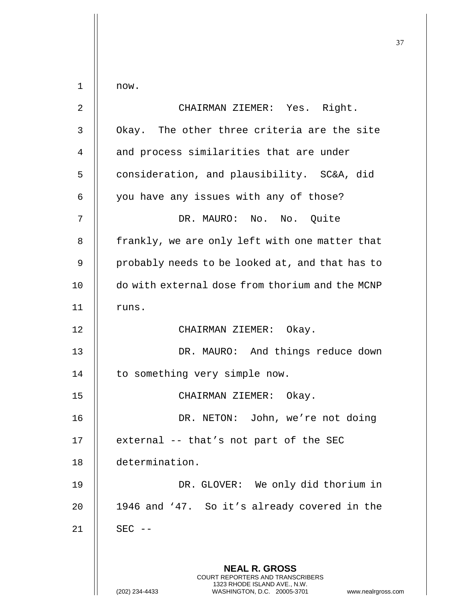**NEAL R. GROSS** COURT REPORTERS AND TRANSCRIBERS 1323 RHODE ISLAND AVE., N.W.  $1$   $\parallel$  now. 2 CHAIRMAN ZIEMER: Yes. Right. 3 || Okay. The other three criteria are the site 4 || and process similarities that are under 5 | consideration, and plausibility. SC&A, did  $6$  | you have any issues with any of those? 7 DR. MAURO: No. No. Quite 8 || frankly, we are only left with one matter that 9 || probably needs to be looked at, and that has to 10 | do with external dose from thorium and the MCNP  $11$   $\parallel$  runs. 12 || CHAIRMAN ZIEMER: Okay. 13 || DR. MAURO: And things reduce down 14 | to something very simple now. 15 || CHAIRMAN ZIEMER: Okay. 16 || DR. NETON: John, we're not doing  $17$  || external -- that's not part of the SEC 18 determination. 19 || DR. GLOVER: We only did thorium in 20 | 1946 and '47. So it's already covered in the  $21$  | SEC --

(202) 234-4433 WASHINGTON, D.C. 20005-3701 www.nealrgross.com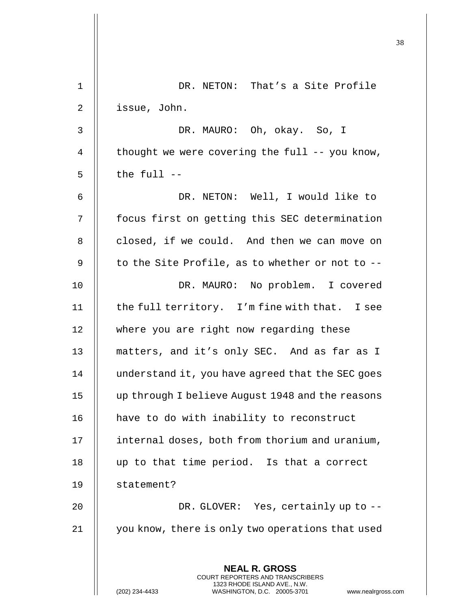| 1  | DR. NETON: That's a Site Profile                                                                                                                                    |
|----|---------------------------------------------------------------------------------------------------------------------------------------------------------------------|
| 2  | issue, John.                                                                                                                                                        |
| 3  | DR. MAURO: Oh, okay. So, I                                                                                                                                          |
| 4  | thought we were covering the full $--$ you know,                                                                                                                    |
| 5  | the full --                                                                                                                                                         |
| 6  | DR. NETON: Well, I would like to                                                                                                                                    |
| 7  | focus first on getting this SEC determination                                                                                                                       |
| 8  | closed, if we could. And then we can move on                                                                                                                        |
| 9  | to the Site Profile, as to whether or not to $-$ -                                                                                                                  |
| 10 | DR. MAURO: No problem. I covered                                                                                                                                    |
| 11 | the full territory. I'm fine with that. I see                                                                                                                       |
| 12 | where you are right now regarding these                                                                                                                             |
| 13 | matters, and it's only SEC. And as far as I                                                                                                                         |
| 14 | understand it, you have agreed that the SEC goes                                                                                                                    |
| 15 | up through I believe August 1948 and the reasons                                                                                                                    |
| 16 | have to do with inability to reconstruct                                                                                                                            |
| 17 | internal doses, both from thorium and uranium,                                                                                                                      |
| 18 | up to that time period. Is that a correct                                                                                                                           |
| 19 | statement?                                                                                                                                                          |
| 20 | DR. GLOVER: Yes, certainly up to --                                                                                                                                 |
| 21 | you know, there is only two operations that used                                                                                                                    |
|    | <b>NEAL R. GROSS</b><br><b>COURT REPORTERS AND TRANSCRIBERS</b><br>1323 RHODE ISLAND AVE., N.W.<br>(202) 234-4433<br>WASHINGTON, D.C. 20005-3701<br>www.nealrgross. |

 $\begin{array}{c} \hline \end{array}$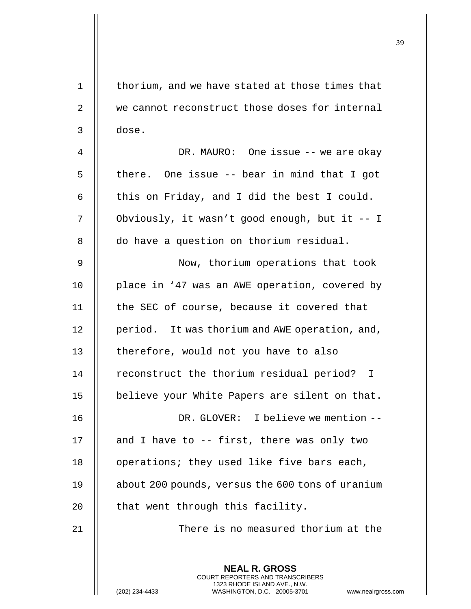| 1  | thorium, and we have stated at those times that                                                 |
|----|-------------------------------------------------------------------------------------------------|
| 2  | we cannot reconstruct those doses for internal                                                  |
| 3  | dose.                                                                                           |
| 4  | DR. MAURO: One issue -- we are okay                                                             |
| 5  | there. One issue -- bear in mind that I got                                                     |
| 6  | this on Friday, and I did the best I could.                                                     |
| 7  | Obviously, it wasn't good enough, but it -- I                                                   |
| 8  | do have a question on thorium residual.                                                         |
| 9  | Now, thorium operations that took                                                               |
| 10 | place in '47 was an AWE operation, covered by                                                   |
| 11 | the SEC of course, because it covered that                                                      |
| 12 | period. It was thorium and AWE operation, and,                                                  |
| 13 | therefore, would not you have to also                                                           |
| 14 | reconstruct the thorium residual period?<br>I.                                                  |
| 15 | believe your White Papers are silent on that.                                                   |
| 16 | DR. GLOVER: I believe we mention --                                                             |
| 17 | and I have to $-$ first, there was only two                                                     |
| 18 | operations; they used like five bars each,                                                      |
| 19 | about 200 pounds, versus the 600 tons of uranium                                                |
| 20 | that went through this facility.                                                                |
| 21 | There is no measured thorium at the                                                             |
|    | <b>NEAL R. GROSS</b><br>COURT REPORTERS AND TRANSCRIBERS                                        |
|    | 1323 RHODE ISLAND AVE., N.W.<br>(202) 234-4433<br>WASHINGTON, D.C. 20005-3701<br>www.nealrgross |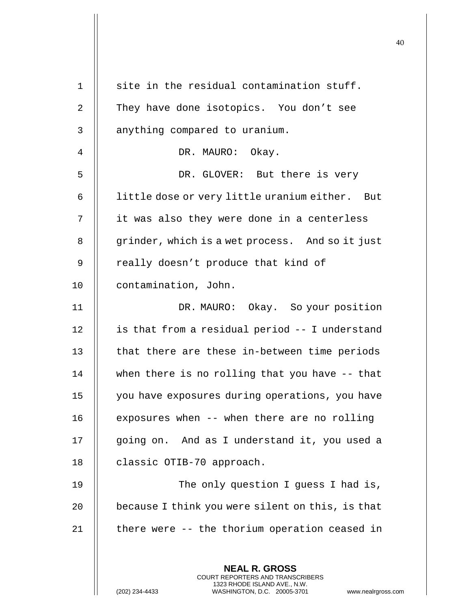| $\mathbf 1$    | site in the residual contamination stuff.                                                                                                                          |
|----------------|--------------------------------------------------------------------------------------------------------------------------------------------------------------------|
| 2              | They have done isotopics. You don't see                                                                                                                            |
| 3              | anything compared to uranium.                                                                                                                                      |
| $\overline{4}$ | DR. MAURO: Okay.                                                                                                                                                   |
| 5              | DR. GLOVER: But there is very                                                                                                                                      |
| 6              | little dose or very little uranium either. But                                                                                                                     |
| 7              | it was also they were done in a centerless                                                                                                                         |
| 8              | grinder, which is a wet process. And so it just                                                                                                                    |
| 9              | really doesn't produce that kind of                                                                                                                                |
| 10             | contamination, John.                                                                                                                                               |
| 11             | DR. MAURO: Okay. So your position                                                                                                                                  |
| 12             | is that from a residual period -- I understand                                                                                                                     |
| 13             | that there are these in-between time periods                                                                                                                       |
| 14             | when there is no rolling that you have $-$ - that                                                                                                                  |
| 15             | you have exposures during operations, you have                                                                                                                     |
| 16             | exposures when -- when there are no rolling                                                                                                                        |
| 17             | going on. And as I understand it, you used a                                                                                                                       |
| 18             | classic OTIB-70 approach.                                                                                                                                          |
| 19             | The only question I guess I had is,                                                                                                                                |
| 20             | because I think you were silent on this, is that                                                                                                                   |
| 21             | there were -- the thorium operation ceased in                                                                                                                      |
|                |                                                                                                                                                                    |
|                | <b>NEAL R. GROSS</b><br><b>COURT REPORTERS AND TRANSCRIBERS</b><br>1323 RHODE ISLAND AVE., N.W.<br>WASHINGTON, D.C. 20005-3701<br>(202) 234-4433<br>www.nealrgross |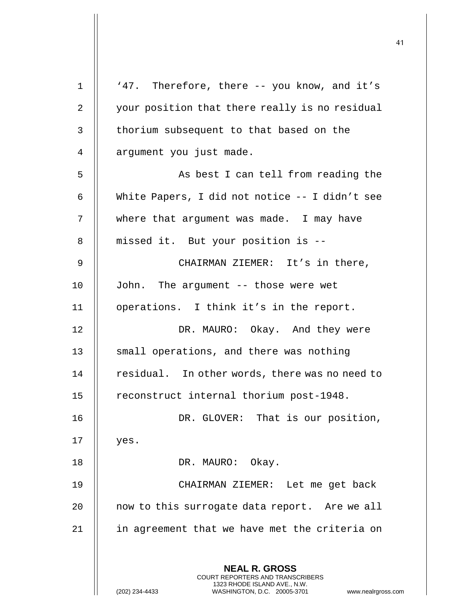| $\mathbf{1}$    | '47. Therefore, there -- you know, and it's                                                                                                                            |
|-----------------|------------------------------------------------------------------------------------------------------------------------------------------------------------------------|
| $\overline{a}$  | your position that there really is no residual                                                                                                                         |
| 3               | thorium subsequent to that based on the                                                                                                                                |
| 4               | argument you just made.                                                                                                                                                |
| 5               | As best I can tell from reading the                                                                                                                                    |
| 6               | White Papers, I did not notice -- I didn't see                                                                                                                         |
| 7               | where that argument was made. I may have                                                                                                                               |
| 8               | missed it. But your position is --                                                                                                                                     |
| 9               | CHAIRMAN ZIEMER: It's in there,                                                                                                                                        |
| 10 <sub>1</sub> | John. The argument -- those were wet                                                                                                                                   |
| 11              | operations. I think it's in the report.                                                                                                                                |
| 12              | DR. MAURO: Okay. And they were                                                                                                                                         |
| 13              | small operations, and there was nothing                                                                                                                                |
| 14              | residual. In other words, there was no need to                                                                                                                         |
| 15              | reconstruct internal thorium post-1948.                                                                                                                                |
| 16              | DR. GLOVER: That is our position,                                                                                                                                      |
| 17              | yes.                                                                                                                                                                   |
| 18              | DR. MAURO: Okay.                                                                                                                                                       |
| 19              | CHAIRMAN ZIEMER: Let me get back                                                                                                                                       |
| 20              | now to this surrogate data report. Are we all                                                                                                                          |
| 21              | in agreement that we have met the criteria on                                                                                                                          |
|                 |                                                                                                                                                                        |
|                 | <b>NEAL R. GROSS</b><br><b>COURT REPORTERS AND TRANSCRIBERS</b><br>1323 RHODE ISLAND AVE., N.W.<br>(202) 234-4433<br>WASHINGTON, D.C. 20005-3701<br>www.nealrgross.com |

 $\mathsf{I}$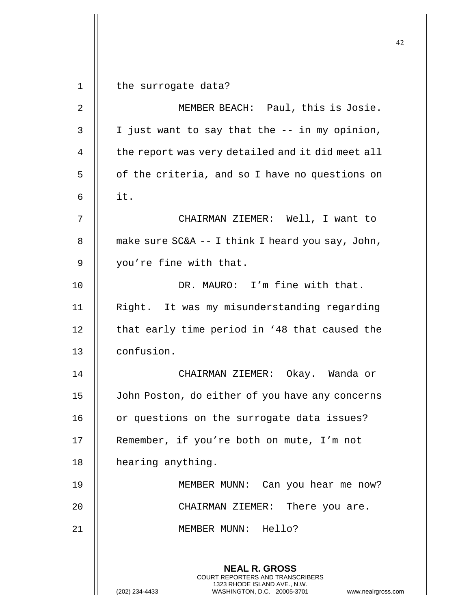**NEAL R. GROSS** COURT REPORTERS AND TRANSCRIBERS 1323 RHODE ISLAND AVE., N.W. (202) 234-4433 WASHINGTON, D.C. 20005-3701 www.nealrgross.com 1 | the surrogate data? 2 MEMBER BEACH: Paul, this is Josie.  $3 \parallel$  I just want to say that the  $-$  in my opinion, 4 | the report was very detailed and it did meet all  $5 \parallel$  of the criteria, and so I have no questions on  $6 \parallel$  it. 7 CHAIRMAN ZIEMER: Well, I want to 8  $\parallel$  make sure SC&A -- I think I heard you say, John, 9 || you're fine with that. 10 DR. MAURO: I'm fine with that. 11 || Right. It was my misunderstanding regarding  $12$  | that early time period in '48 that caused the 13 confusion. 14 CHAIRMAN ZIEMER: Okay. Wanda or 15 John Poston, do either of you have any concerns 16 | or questions on the surrogate data issues? 17 || Remember, if you're both on mute, I'm not 18 | hearing anything. 19 MEMBER MUNN: Can you hear me now? 20 CHAIRMAN ZIEMER: There you are. 21 || MEMBER MUNN: Hello?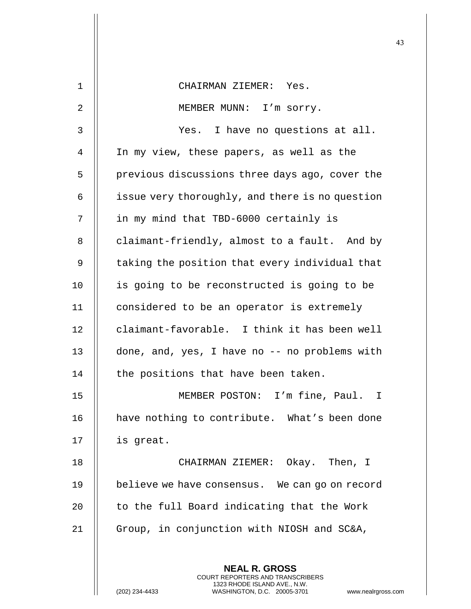|    |                                                                                                                                                                        | 43 |
|----|------------------------------------------------------------------------------------------------------------------------------------------------------------------------|----|
| 1  | CHAIRMAN ZIEMER: Yes.                                                                                                                                                  |    |
| 2  | MEMBER MUNN: I'm sorry.                                                                                                                                                |    |
|    |                                                                                                                                                                        |    |
| 3  | Yes. I have no questions at all.                                                                                                                                       |    |
| 4  | In my view, these papers, as well as the                                                                                                                               |    |
| 5  | previous discussions three days ago, cover the                                                                                                                         |    |
| 6  | issue very thoroughly, and there is no question                                                                                                                        |    |
| 7  | in my mind that TBD-6000 certainly is                                                                                                                                  |    |
| 8  | claimant-friendly, almost to a fault. And by                                                                                                                           |    |
| 9  | taking the position that every individual that                                                                                                                         |    |
| 10 | is going to be reconstructed is going to be                                                                                                                            |    |
| 11 | considered to be an operator is extremely                                                                                                                              |    |
| 12 | claimant-favorable. I think it has been well                                                                                                                           |    |
| 13 | done, and, yes, I have no -- no problems with                                                                                                                          |    |
| 14 | the positions that have been taken.                                                                                                                                    |    |
| 15 | MEMBER POSTON: I'm fine, Paul. I                                                                                                                                       |    |
| 16 | have nothing to contribute. What's been done                                                                                                                           |    |
| 17 | is great.                                                                                                                                                              |    |
| 18 | CHAIRMAN ZIEMER: Okay. Then, I                                                                                                                                         |    |
| 19 | believe we have consensus. We can go on record                                                                                                                         |    |
| 20 | to the full Board indicating that the Work                                                                                                                             |    |
| 21 | Group, in conjunction with NIOSH and SC&A,                                                                                                                             |    |
|    | <b>NEAL R. GROSS</b><br><b>COURT REPORTERS AND TRANSCRIBERS</b><br>1323 RHODE ISLAND AVE., N.W.<br>(202) 234-4433<br>WASHINGTON, D.C. 20005-3701<br>www.nealrgross.com |    |

 $\mathsf{I}$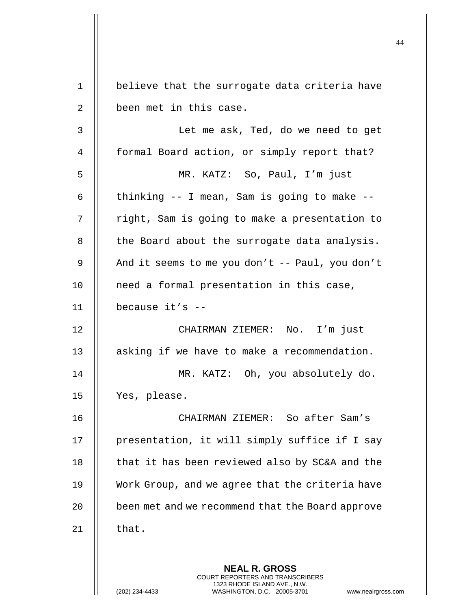| $\mathbf 1$ | believe that the surrogate data criteria have                                                                                                               |
|-------------|-------------------------------------------------------------------------------------------------------------------------------------------------------------|
| 2           | been met in this case.                                                                                                                                      |
| 3           | Let me ask, Ted, do we need to get                                                                                                                          |
| 4           | formal Board action, or simply report that?                                                                                                                 |
| 5           | MR. KATZ: So, Paul, I'm just                                                                                                                                |
| 6           | thinking -- I mean, Sam is going to make --                                                                                                                 |
| 7           | right, Sam is going to make a presentation to                                                                                                               |
| 8           | the Board about the surrogate data analysis.                                                                                                                |
| 9           | And it seems to me you don't -- Paul, you don't                                                                                                             |
| 10          | need a formal presentation in this case,                                                                                                                    |
| 11          | because $it's$ --                                                                                                                                           |
| 12          | CHAIRMAN ZIEMER: No. I'm just                                                                                                                               |
| 13          | asking if we have to make a recommendation.                                                                                                                 |
| 14          | MR. KATZ: Oh, you absolutely do.                                                                                                                            |
| 15          | Yes, please.                                                                                                                                                |
| 16          | CHAIRMAN ZIEMER: So after Sam's                                                                                                                             |
| 17          | presentation, it will simply suffice if I say                                                                                                               |
| 18          | that it has been reviewed also by SC&A and the                                                                                                              |
| 19          | Work Group, and we agree that the criteria have                                                                                                             |
| 20          | been met and we recommend that the Board approve                                                                                                            |
| 21          | that.                                                                                                                                                       |
|             | <b>NEAL R. GROSS</b><br>COURT REPORTERS AND TRANSCRIBERS<br>1323 RHODE ISLAND AVE., N.W.<br>WASHINGTON, D.C. 20005-3701<br>www.nealrgross<br>(202) 234-4433 |

 $\mathsf{l}\mathsf{l}$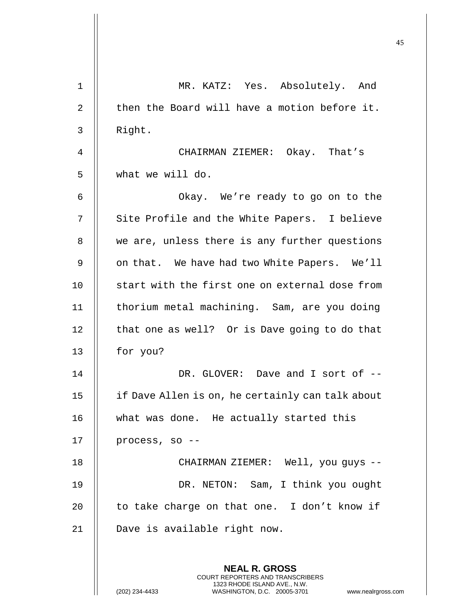|             | 45                                                                                                                                                                     |
|-------------|------------------------------------------------------------------------------------------------------------------------------------------------------------------------|
| $\mathbf 1$ | MR. KATZ: Yes. Absolutely. And                                                                                                                                         |
| 2           | then the Board will have a motion before it.                                                                                                                           |
| 3           | Right.                                                                                                                                                                 |
| 4           | CHAIRMAN ZIEMER: Okay. That's                                                                                                                                          |
| 5           | what we will do.                                                                                                                                                       |
| 6           | Okay. We're ready to go on to the                                                                                                                                      |
| 7           | Site Profile and the White Papers. I believe                                                                                                                           |
| 8           | we are, unless there is any further questions                                                                                                                          |
| 9           | on that. We have had two White Papers. We'll                                                                                                                           |
| 10          | start with the first one on external dose from                                                                                                                         |
| 11          | thorium metal machining. Sam, are you doing                                                                                                                            |
| 12          | that one as well? Or is Dave going to do that                                                                                                                          |
| 13          | for you?                                                                                                                                                               |
| 14          | DR. GLOVER: Dave and I sort of --                                                                                                                                      |
| 15          | if Dave Allen is on, he certainly can talk about                                                                                                                       |
| 16          | what was done. He actually started this                                                                                                                                |
| 17          | process, so --                                                                                                                                                         |
| 18          | CHAIRMAN ZIEMER: Well, you guys --                                                                                                                                     |
| 19          | DR. NETON: Sam, I think you ought                                                                                                                                      |
| 20          | to take charge on that one. I don't know if                                                                                                                            |
| 21          | Dave is available right now.                                                                                                                                           |
|             | <b>NEAL R. GROSS</b><br><b>COURT REPORTERS AND TRANSCRIBERS</b><br>1323 RHODE ISLAND AVE., N.W.<br>(202) 234-4433<br>WASHINGTON, D.C. 20005-3701<br>www.nealrgross.com |

 $\mathsf{I}$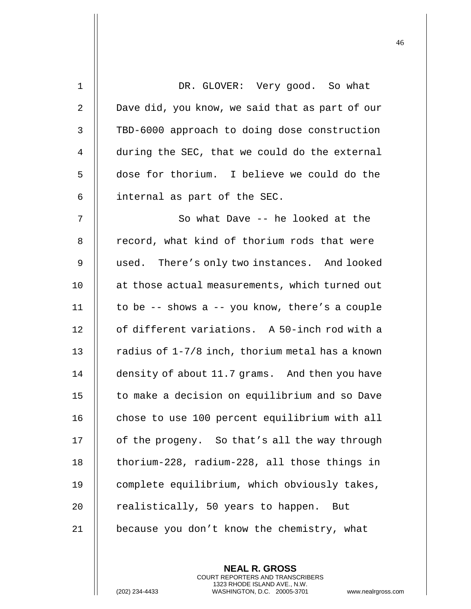| $\mathbf{1}$ | DR. GLOVER: Very good. So what                  |
|--------------|-------------------------------------------------|
| 2            | Dave did, you know, we said that as part of our |
| 3            | TBD-6000 approach to doing dose construction    |
| 4            | during the SEC, that we could do the external   |
| 5            | dose for thorium. I believe we could do the     |
| 6            | internal as part of the SEC.                    |
| 7            | So what Dave -- he looked at the                |
| 8            | record, what kind of thorium rods that were     |
| 9            | used. There's only two instances. And looked    |
| 10           | at those actual measurements, which turned out  |
| 11           | to be -- shows a -- you know, there's a couple  |
| 12           | of different variations. A 50-inch rod with a   |
| 13           | radius of 1-7/8 inch, thorium metal has a known |
| 14           | density of about 11.7 grams. And then you have  |
| 15           | to make a decision on equilibrium and so Dave   |
| 16           | chose to use 100 percent equilibrium with all   |
| 17           | of the progeny. So that's all the way through   |
| 18           | thorium-228, radium-228, all those things in    |
| 19           | complete equilibrium, which obviously takes,    |
| 20           | realistically, 50 years to happen.<br>But       |
| 21           | because you don't know the chemistry, what      |

(202) 234-4433 WASHINGTON, D.C. 20005-3701 www.nealrgross.com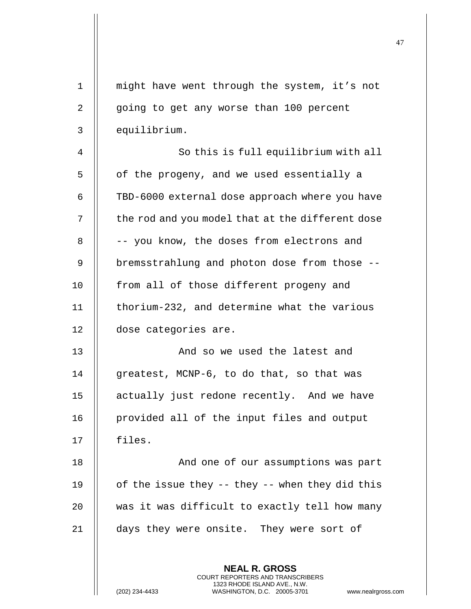| $\mathbf 1$    | might have went through the system, it's not                                                                                                                           |
|----------------|------------------------------------------------------------------------------------------------------------------------------------------------------------------------|
| 2              | going to get any worse than 100 percent                                                                                                                                |
| 3              | equilibrium.                                                                                                                                                           |
| $\overline{4}$ | So this is full equilibrium with all                                                                                                                                   |
| 5              | of the progeny, and we used essentially a                                                                                                                              |
| 6              | TBD-6000 external dose approach where you have                                                                                                                         |
| 7              | the rod and you model that at the different dose                                                                                                                       |
| 8              | -- you know, the doses from electrons and                                                                                                                              |
| 9              | bremsstrahlung and photon dose from those --                                                                                                                           |
| 10             | from all of those different progeny and                                                                                                                                |
| 11             | thorium-232, and determine what the various                                                                                                                            |
| 12             | dose categories are.                                                                                                                                                   |
| 13             | And so we used the latest and                                                                                                                                          |
| 14             | greatest, MCNP-6, to do that, so that was                                                                                                                              |
| 15             | actually just redone recently. And we have                                                                                                                             |
| 16             | provided all of the input files and output                                                                                                                             |
| 17             | files.                                                                                                                                                                 |
| 18             | And one of our assumptions was part                                                                                                                                    |
| 19             | of the issue they -- they -- when they did this                                                                                                                        |
| 20             | was it was difficult to exactly tell how many                                                                                                                          |
| 21             | days they were onsite. They were sort of                                                                                                                               |
|                |                                                                                                                                                                        |
|                | <b>NEAL R. GROSS</b><br><b>COURT REPORTERS AND TRANSCRIBERS</b><br>1323 RHODE ISLAND AVE., N.W.<br>(202) 234-4433<br>WASHINGTON, D.C. 20005-3701<br>www.nealrgross.com |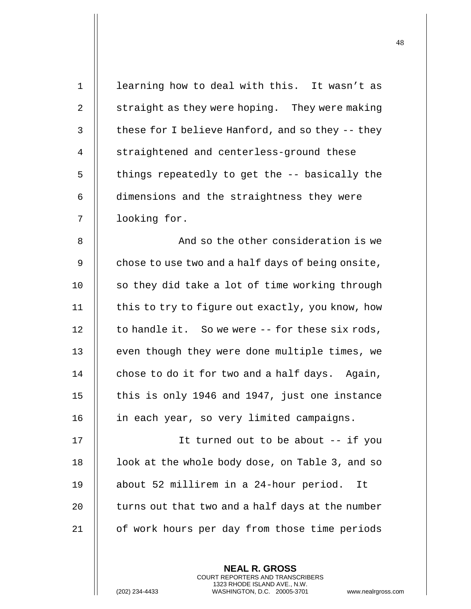| $\mathbf 1$ | learning how to deal with this. It wasn't as      |
|-------------|---------------------------------------------------|
| 2           | straight as they were hoping. They were making    |
| 3           | these for I believe Hanford, and so they -- they  |
| 4           | straightened and centerless-ground these          |
| 5           | things repeatedly to get the -- basically the     |
| 6           | dimensions and the straightness they were         |
| 7           | looking for.                                      |
| 8           | And so the other consideration is we              |
| 9           | chose to use two and a half days of being onsite, |
| 10          | so they did take a lot of time working through    |
| 11          | this to try to figure out exactly, you know, how  |
| 12          | to handle it. So we were -- for these six rods,   |
| 13          | even though they were done multiple times, we     |
| 14          | chose to do it for two and a half days. Again,    |
| 15          | this is only 1946 and 1947, just one instance     |
| 16          | in each year, so very limited campaigns.          |
| 17          | It turned out to be about -- if you               |
| 18          | look at the whole body dose, on Table 3, and so   |
| 19          | about 52 millirem in a 24-hour period.<br>It      |
| 20          | turns out that two and a half days at the number  |
| 21          | of work hours per day from those time periods     |
|             |                                                   |

(202) 234-4433 WASHINGTON, D.C. 20005-3701 www.nealrgross.com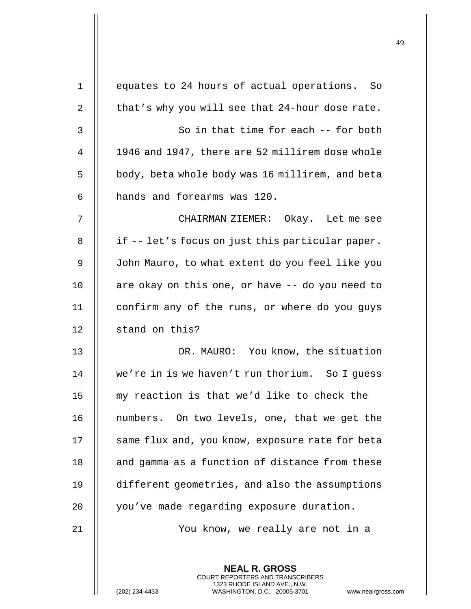| 1  | equates to 24 hours of actual operations. So                                                                                                                |
|----|-------------------------------------------------------------------------------------------------------------------------------------------------------------|
| 2  | that's why you will see that 24-hour dose rate.                                                                                                             |
| 3  | So in that time for each -- for both                                                                                                                        |
| 4  | 1946 and 1947, there are 52 millirem dose whole                                                                                                             |
| 5  | body, beta whole body was 16 millirem, and beta                                                                                                             |
| 6  | hands and forearms was 120.                                                                                                                                 |
| 7  | CHAIRMAN ZIEMER: Okay. Let me see                                                                                                                           |
| 8  | if -- let's focus on just this particular paper.                                                                                                            |
| 9  | John Mauro, to what extent do you feel like you                                                                                                             |
| 10 | are okay on this one, or have -- do you need to                                                                                                             |
| 11 | confirm any of the runs, or where do you guys                                                                                                               |
| 12 | stand on this?                                                                                                                                              |
| 13 | DR. MAURO: You know, the situation                                                                                                                          |
| 14 | we're in is we haven't run thorium. So I quess                                                                                                              |
| 15 | my reaction is that we'd like to check the                                                                                                                  |
| 16 | numbers. On two levels, one, that we get the                                                                                                                |
| 17 | same flux and, you know, exposure rate for beta                                                                                                             |
| 18 | and gamma as a function of distance from these                                                                                                              |
| 19 | different geometries, and also the assumptions                                                                                                              |
| 20 | you've made regarding exposure duration.                                                                                                                    |
| 21 | You know, we really are not in a                                                                                                                            |
|    | <b>NEAL R. GROSS</b><br>COURT REPORTERS AND TRANSCRIBERS<br>1323 RHODE ISLAND AVE., N.W.<br>(202) 234-4433<br>WASHINGTON, D.C. 20005-3701<br>www.nealrgross |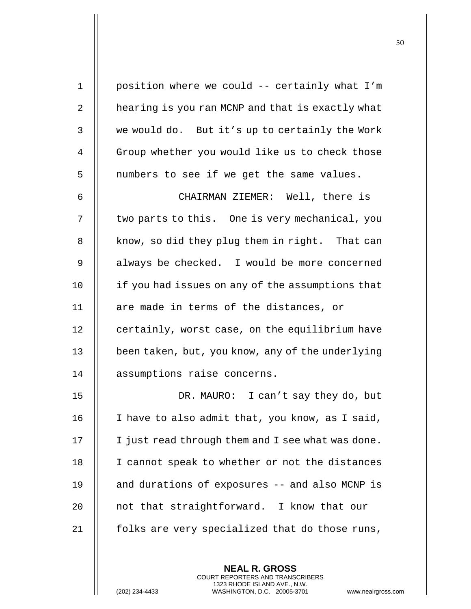1 | position where we could -- certainly what I'm 2 | hearing is you ran MCNP and that is exactly what 3 we would do. But it's up to certainly the Work 4 | Group whether you would like us to check those  $5$  || numbers to see if we get the same values. 6 CHAIRMAN ZIEMER: Well, there is 7 | two parts to this. One is very mechanical, you  $8$  | know, so did they plug them in right. That can 9 | always be checked. I would be more concerned 10 | if you had issues on any of the assumptions that 11  $\parallel$  are made in terms of the distances, or 12 | certainly, worst case, on the equilibrium have 13 been taken, but, you know, any of the underlying 14 | assumptions raise concerns. 15 DR. MAURO: I can't say they do, but 16  $\parallel$  I have to also admit that, you know, as I said,  $17$  | I just read through them and I see what was done. 18 || I cannot speak to whether or not the distances 19 and durations of exposures -- and also MCNP is 20 **e** not that straightforward. I know that our 21  $\parallel$  folks are very specialized that do those runs,

> **NEAL R. GROSS** COURT REPORTERS AND TRANSCRIBERS 1323 RHODE ISLAND AVE., N.W.

(202) 234-4433 WASHINGTON, D.C. 20005-3701 www.nealrgross.com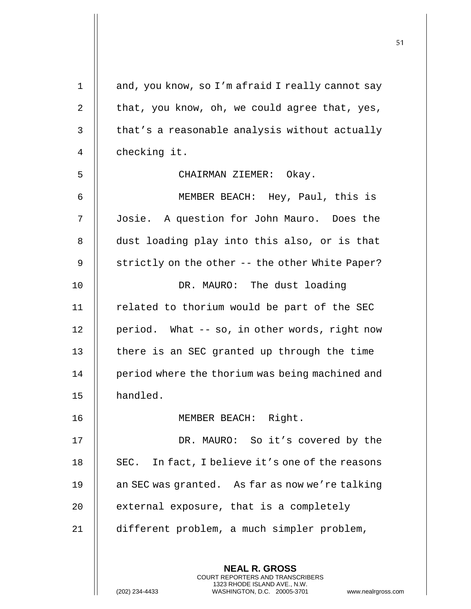| 1  | and, you know, so I'm afraid I really cannot say                                                                                                            |
|----|-------------------------------------------------------------------------------------------------------------------------------------------------------------|
| 2  | that, you know, oh, we could agree that, yes,                                                                                                               |
| 3  | that's a reasonable analysis without actually                                                                                                               |
| 4  | checking it.                                                                                                                                                |
| 5  | CHAIRMAN ZIEMER: Okay.                                                                                                                                      |
| 6  | MEMBER BEACH: Hey, Paul, this is                                                                                                                            |
| 7  | Josie. A question for John Mauro. Does the                                                                                                                  |
| 8  | dust loading play into this also, or is that                                                                                                                |
| 9  | strictly on the other -- the other White Paper?                                                                                                             |
| 10 | DR. MAURO: The dust loading                                                                                                                                 |
| 11 | related to thorium would be part of the SEC                                                                                                                 |
| 12 | period. What -- so, in other words, right now                                                                                                               |
| 13 | there is an SEC granted up through the time                                                                                                                 |
| 14 | period where the thorium was being machined and                                                                                                             |
| 15 | handled.                                                                                                                                                    |
| 16 | MEMBER BEACH: Right.                                                                                                                                        |
| 17 | DR. MAURO: So it's covered by the                                                                                                                           |
| 18 | SEC. In fact, I believe it's one of the reasons                                                                                                             |
| 19 | an SEC was granted. As far as now we're talking                                                                                                             |
| 20 | external exposure, that is a completely                                                                                                                     |
| 21 | different problem, a much simpler problem,                                                                                                                  |
|    |                                                                                                                                                             |
|    | <b>NEAL R. GROSS</b><br>COURT REPORTERS AND TRANSCRIBERS<br>1323 RHODE ISLAND AVE., N.W.<br>WASHINGTON, D.C. 20005-3701<br>(202) 234-4433<br>www.nealrgross |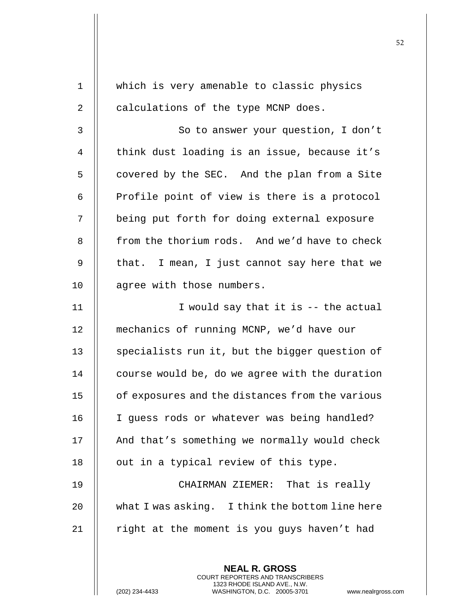1 || which is very amenable to classic physics  $2 \parallel$  calculations of the type MCNP does. 3 || So to answer your question, I don't 4 || think dust loading is an issue, because it's  $5$  | covered by the SEC. And the plan from a Site 6  $\parallel$  Profile point of view is there is a protocol 7 | being put forth for doing external exposure 8 **follow** from the thorium rods. And we'd have to check 9  $\parallel$  that. I mean, I just cannot say here that we 10 | agree with those numbers. 11  $\parallel$  I would say that it is -- the actual 12 | mechanics of running MCNP, we'd have our 13 || specialists run it, but the bigger question of  $14$  | course would be, do we agree with the duration 15 | of exposures and the distances from the various 16 || I guess rods or whatever was being handled?  $17$  | And that's something we normally would check  $18$  || out in a typical review of this type. 19 CHAIRMAN ZIEMER: That is really 20  $\parallel$  what I was asking. I think the bottom line here 21  $\parallel$  right at the moment is you guys haven't had

> **NEAL R. GROSS** COURT REPORTERS AND TRANSCRIBERS 1323 RHODE ISLAND AVE., N.W.

(202) 234-4433 WASHINGTON, D.C. 20005-3701 www.nealrgross.com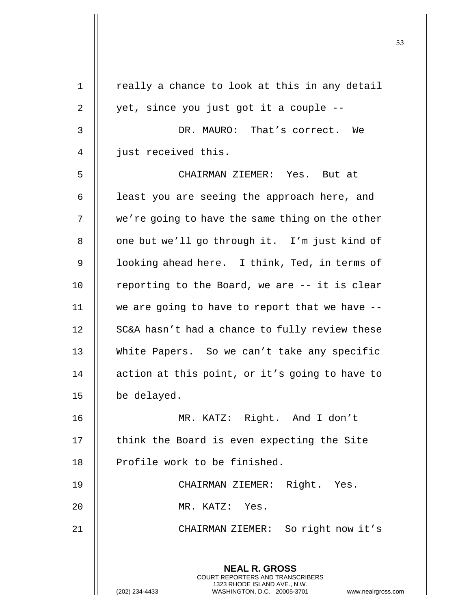| 1  | really a chance to look at this in any detail                                                                                                                     |
|----|-------------------------------------------------------------------------------------------------------------------------------------------------------------------|
| 2  | yet, since you just got it a couple --                                                                                                                            |
| 3  | DR. MAURO: That's correct. We                                                                                                                                     |
| 4  | just received this.                                                                                                                                               |
| 5  | CHAIRMAN ZIEMER: Yes. But at                                                                                                                                      |
| 6  | least you are seeing the approach here, and                                                                                                                       |
| 7  | we're going to have the same thing on the other                                                                                                                   |
| 8  | one but we'll go through it. I'm just kind of                                                                                                                     |
| 9  | looking ahead here. I think, Ted, in terms of                                                                                                                     |
| 10 | reporting to the Board, we are -- it is clear                                                                                                                     |
| 11 | we are going to have to report that we have $-$ -                                                                                                                 |
| 12 | SC&A hasn't had a chance to fully review these                                                                                                                    |
| 13 | White Papers. So we can't take any specific                                                                                                                       |
| 14 | action at this point, or it's going to have to                                                                                                                    |
| 15 | be delayed.                                                                                                                                                       |
| 16 | MR. KATZ: Right. And I don't                                                                                                                                      |
| 17 | think the Board is even expecting the Site                                                                                                                        |
| 18 | Profile work to be finished.                                                                                                                                      |
| 19 | CHAIRMAN ZIEMER: Right. Yes.                                                                                                                                      |
| 20 | MR. KATZ: Yes.                                                                                                                                                    |
| 21 | CHAIRMAN ZIEMER: So right now it's                                                                                                                                |
|    | <b>NEAL R. GROSS</b><br><b>COURT REPORTERS AND TRANSCRIBERS</b><br>1323 RHODE ISLAND AVE., N.W.<br>(202) 234-4433<br>WASHINGTON, D.C. 20005-3701<br>www.nealrgros |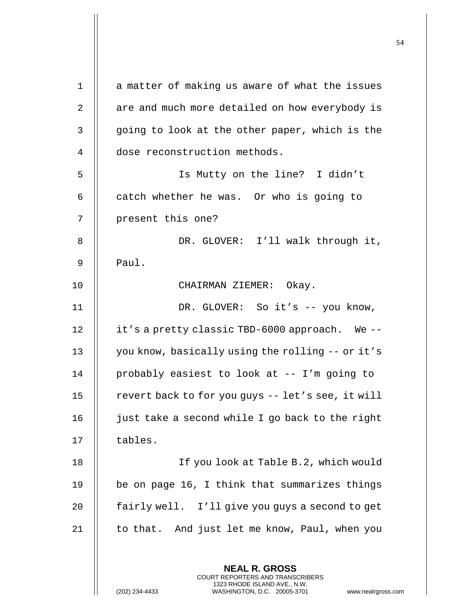**NEAL R. GROSS** COURT REPORTERS AND TRANSCRIBERS  $1$  | a matter of making us aware of what the issues  $2 \parallel$  are and much more detailed on how everybody is 3 || going to look at the other paper, which is the 4 | dose reconstruction methods. 5 Is Mutty on the line? I didn't 6  $\parallel$  catch whether he was. Or who is going to 7 || present this one? 8 || DR. GLOVER: I'll walk through it,  $9 \parallel$  Paul. 10 CHAIRMAN ZIEMER: Okay. 11 || DR. GLOVER: So it's -- you know, 12 | it's a pretty classic TBD-6000 approach. We --13 | you know, basically using the rolling -- or it's 14 probably easiest to look at -- I'm going to 15  $\parallel$  revert back to for you guys -- let's see, it will 16  $\parallel$  just take a second while I go back to the right  $17$  || tables. 18 If you look at Table B.2, which would 19 || be on page 16, I think that summarizes things 20 | fairly well. I'll give you guys a second to get 21  $\parallel$  to that. And just let me know, Paul, when you

1323 RHODE ISLAND AVE., N.W.

(202) 234-4433 WASHINGTON, D.C. 20005-3701 www.nealrgross.com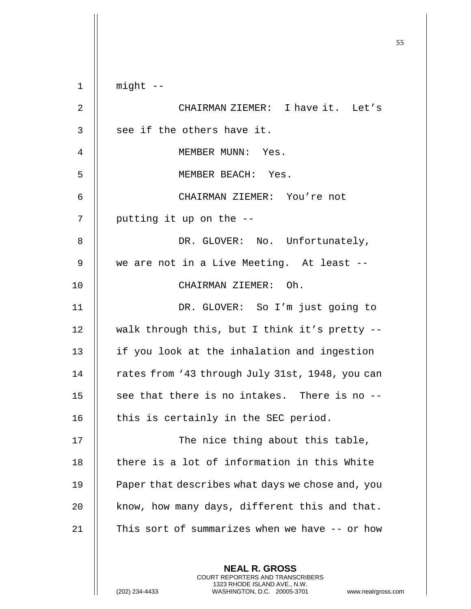**NEAL R. GROSS**  $1$  | might  $-$ 2 CHAIRMAN ZIEMER: I have it. Let's  $3$   $\parallel$  see if the others have it. 4 || MEMBER MUNN: Yes. 5 MEMBER BEACH: Yes. 6 CHAIRMAN ZIEMER: You're not  $7$  || putting it up on the  $-$ 8 DR. GLOVER: No. Unfortunately, 9 || we are not in a Live Meeting. At least --10 || CHAIRMAN ZIEMER: Oh. 11 DR. GLOVER: So I'm just going to 12  $\parallel$  walk through this, but I think it's pretty --13 || if you look at the inhalation and ingestion 14 | rates from '43 through July 31st, 1948, you can 15  $\parallel$  see that there is no intakes. There is no  $-$ -16  $\parallel$  this is certainly in the SEC period. 17 || The nice thing about this table, 18 || there is a lot of information in this White 19 | Paper that describes what days we chose and, you  $20$  | know, how many days, different this and that. 21 || This sort of summarizes when we have -- or how

> COURT REPORTERS AND TRANSCRIBERS 1323 RHODE ISLAND AVE., N.W.

(202) 234-4433 WASHINGTON, D.C. 20005-3701 www.nealrgross.com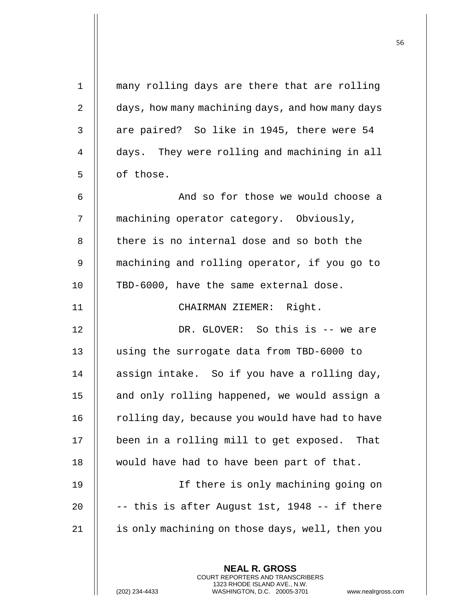| $\mathbf{1}$   | many rolling days are there that are rolling     |
|----------------|--------------------------------------------------|
| $\overline{2}$ | days, how many machining days, and how many days |
| 3              | are paired? So like in 1945, there were 54       |
| 4              | days. They were rolling and machining in all     |
| 5              | of those.                                        |
| 6              | And so for those we would choose a               |
| 7              | machining operator category. Obviously,          |
| 8              | there is no internal dose and so both the        |
| 9              | machining and rolling operator, if you go to     |
| 10             | TBD-6000, have the same external dose.           |
| 11             | CHAIRMAN ZIEMER: Right.                          |
| 12             | DR. GLOVER: So this is -- we are                 |
| 13             | using the surrogate data from TBD-6000 to        |
| 14             | assign intake. So if you have a rolling day,     |
| 15             | and only rolling happened, we would assign a     |
| 16             | rolling day, because you would have had to have  |
| 17             | been in a rolling mill to get exposed.<br>That   |
| 18             | would have had to have been part of that.        |
| 19             | If there is only machining going on              |
| 20             | -- this is after August 1st, 1948 -- if there    |
| 21             | is only machining on those days, well, then you  |
|                |                                                  |
|                | <b>NEAL R. GROSS</b>                             |

 $\prod$ 

(202) 234-4433 WASHINGTON, D.C. 20005-3701 www.nealrgross.com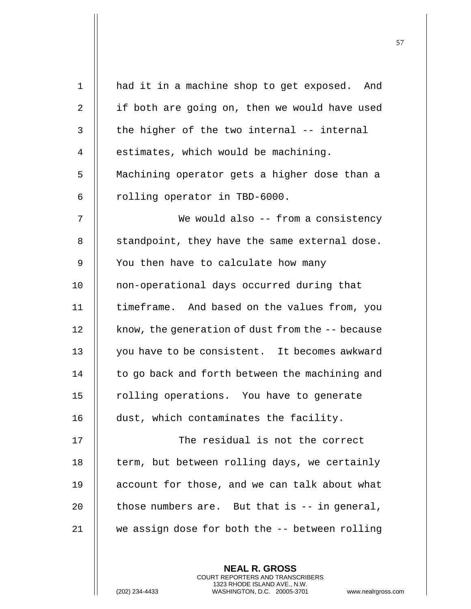| had it in a machine shop to get exposed. And     |
|--------------------------------------------------|
| if both are going on, then we would have used    |
| the higher of the two internal -- internal       |
| estimates, which would be machining.             |
| Machining operator gets a higher dose than a     |
| rolling operator in TBD-6000.                    |
| We would also -- from a consistency              |
| standpoint, they have the same external dose.    |
| You then have to calculate how many              |
| non-operational days occurred during that        |
| timeframe. And based on the values from, you     |
| know, the generation of dust from the -- because |
| you have to be consistent. It becomes awkward    |
| to go back and forth between the machining and   |
| rolling operations. You have to generate         |
| dust, which contaminates the facility.           |
| The residual is not the correct                  |
| term, but between rolling days, we certainly     |
| account for those, and we can talk about what    |
| those numbers are. But that is $-$ in general,   |
| we assign dose for both the -- between rolling   |
|                                                  |
|                                                  |

(202) 234-4433 WASHINGTON, D.C. 20005-3701 www.nealrgross.com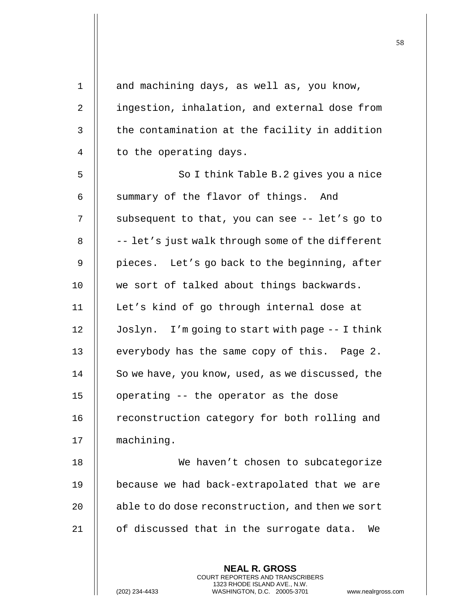| $\mathbf 1$ | and machining days, as well as, you know,                                                      |
|-------------|------------------------------------------------------------------------------------------------|
| 2           | ingestion, inhalation, and external dose from                                                  |
| 3           | the contamination at the facility in addition                                                  |
| 4           | to the operating days.                                                                         |
| 5           | So I think Table B.2 gives you a nice                                                          |
| 6           | summary of the flavor of things. And                                                           |
| 7           | subsequent to that, you can see -- let's go to                                                 |
| 8           | -- let's just walk through some of the different                                               |
| 9           | pieces. Let's go back to the beginning, after                                                  |
| 10          | we sort of talked about things backwards.                                                      |
| 11          | Let's kind of go through internal dose at                                                      |
| 12          | Joslyn. I'm going to start with page -- I think                                                |
| 13          | everybody has the same copy of this. Page 2.                                                   |
| 14          | So we have, you know, used, as we discussed, the                                               |
| 15          | operating -- the operator as the dose                                                          |
| 16          | reconstruction category for both rolling and                                                   |
| 17          | machining.                                                                                     |
| 18          | We haven't chosen to subcategorize                                                             |
| 19          | because we had back-extrapolated that we are                                                   |
| 20          | able to do dose reconstruction, and then we sort                                               |
| 21          | of discussed that in the surrogate data.<br>We                                                 |
|             |                                                                                                |
|             | <b>NEAL R. GROSS</b><br><b>COURT REPORTERS AND TRANSCRIBERS</b>                                |
|             | 1323 RHODE ISLAND AVE., N.W.<br>WASHINGTON, D.C. 20005-3701<br>(202) 234-4433<br>www.nealrgros |

(202) 234-4433 WASHINGTON, D.C. 20005-3701 www.nealrgross.com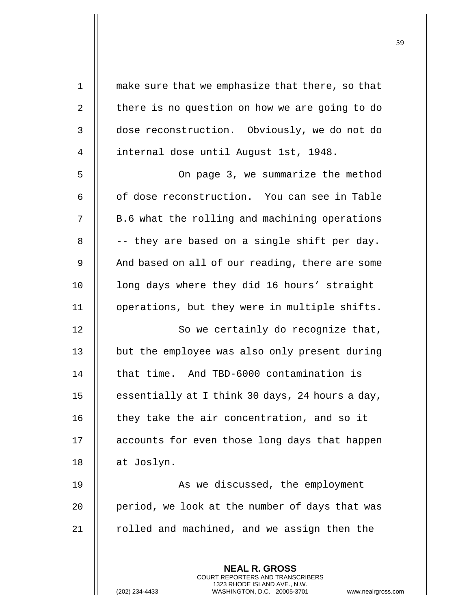| $\mathbf 1$    | make sure that we emphasize that there, so that                                                 |
|----------------|-------------------------------------------------------------------------------------------------|
| $\overline{2}$ | there is no question on how we are going to do                                                  |
| 3              | dose reconstruction. Obviously, we do not do                                                    |
| 4              | internal dose until August 1st, 1948.                                                           |
| 5              | On page 3, we summarize the method                                                              |
| 6              | of dose reconstruction. You can see in Table                                                    |
| 7              | B.6 what the rolling and machining operations                                                   |
| 8              | -- they are based on a single shift per day.                                                    |
| 9              | And based on all of our reading, there are some                                                 |
| 10             | long days where they did 16 hours' straight                                                     |
| 11             | operations, but they were in multiple shifts.                                                   |
| 12             | So we certainly do recognize that,                                                              |
| 13             | but the employee was also only present during                                                   |
| 14             | that time. And TBD-6000 contamination is                                                        |
| 15             | essentially at I think 30 days, 24 hours a day,                                                 |
| 16             | they take the air concentration, and so it                                                      |
| 17             | accounts for even those long days that happen                                                   |
| 18             | at Joslyn.                                                                                      |
| 19             | As we discussed, the employment                                                                 |
| 20             | period, we look at the number of days that was                                                  |
| 21             | rolled and machined, and we assign then the                                                     |
|                |                                                                                                 |
|                | <b>NEAL R. GROSS</b><br><b>COURT REPORTERS AND TRANSCRIBERS</b>                                 |
|                | 1323 RHODE ISLAND AVE., N.W.<br>(202) 234-4433<br>WASHINGTON, D.C. 20005-3701<br>www.nealrgross |

(202) 234-4433 WASHINGTON, D.C. 20005-3701 www.nealrgross.com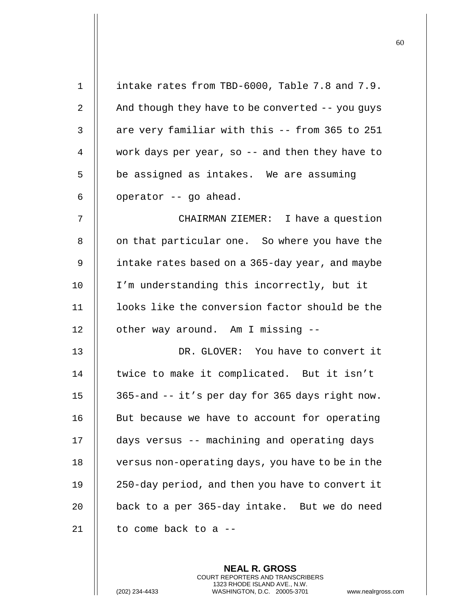| $\mathbf 1$    | intake rates from TBD-6000, Table 7.8 and 7.9.   |
|----------------|--------------------------------------------------|
| 2              | And though they have to be converted -- you guys |
| 3              | are very familiar with this -- from 365 to 251   |
| $\overline{4}$ | work days per year, so -- and then they have to  |
| 5              | be assigned as intakes. We are assuming          |
| 6              | operator -- go ahead.                            |
| 7              | CHAIRMAN ZIEMER: I have a question               |
| 8              | on that particular one. So where you have the    |
| 9              | intake rates based on a 365-day year, and maybe  |
| 10             | I'm understanding this incorrectly, but it       |
| 11             | looks like the conversion factor should be the   |
| 12             | other way around. Am I missing --                |
| 13             | DR. GLOVER: You have to convert it               |
| 14             | twice to make it complicated. But it isn't       |
| 15             | 365-and -- it's per day for 365 days right now.  |
| 16             | But because we have to account for operating     |
| 17             | days versus -- machining and operating days      |
| 18             | versus non-operating days, you have to be in the |
| 19             | 250-day period, and then you have to convert it  |
| 20             | back to a per 365-day intake. But we do need     |
| 21             | to come back to a --                             |
|                |                                                  |

(202) 234-4433 WASHINGTON, D.C. 20005-3701 www.nealrgross.com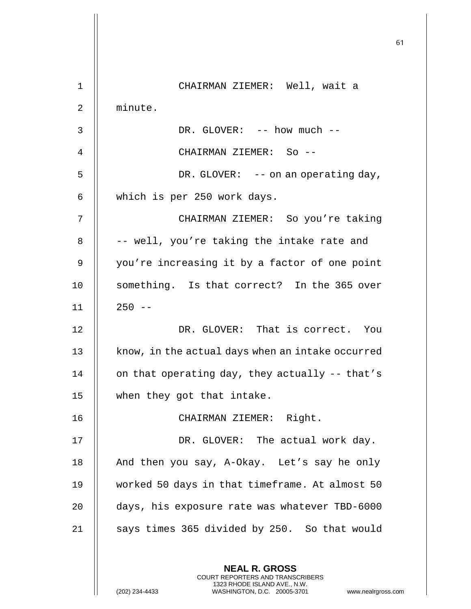|             |                                                  | 61 |
|-------------|--------------------------------------------------|----|
|             |                                                  |    |
| $\mathbf 1$ | CHAIRMAN ZIEMER: Well, wait a                    |    |
| 2           | minute.                                          |    |
| 3           | DR. GLOVER: -- how much --                       |    |
| 4           | CHAIRMAN ZIEMER: So --                           |    |
| 5           | DR. GLOVER: $-$ - on an operating day,           |    |
| 6           | which is per 250 work days.                      |    |
| 7           | CHAIRMAN ZIEMER: So you're taking                |    |
| 8           | -- well, you're taking the intake rate and       |    |
| 9           | you're increasing it by a factor of one point    |    |
| 10          | something. Is that correct? In the 365 over      |    |
| 11          | $250 - -$                                        |    |
| 12          | DR. GLOVER: That is correct. You                 |    |
| 13          | know, in the actual days when an intake occurred |    |
| 14          | on that operating day, they actually -- that's   |    |
| 15          | when they got that intake.                       |    |
| 16          | CHAIRMAN ZIEMER: Right.                          |    |
| 17          | DR. GLOVER: The actual work day.                 |    |
| 18          | And then you say, A-Okay. Let's say he only      |    |
| 19          | worked 50 days in that timeframe. At almost 50   |    |
| 20          | days, his exposure rate was whatever TBD-6000    |    |
| 21          | says times 365 divided by 250. So that would     |    |
|             |                                                  |    |
|             | <b>NEAL R. GROSS</b>                             |    |

 $\mathsf{II}$ 

 $\mathsf{l}\mathsf{l}$ 

(202) 234-4433 WASHINGTON, D.C. 20005-3701 www.nealrgross.com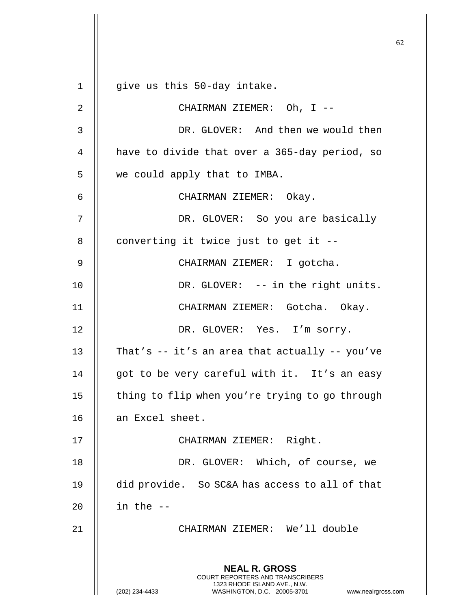**NEAL R. GROSS** COURT REPORTERS AND TRANSCRIBERS 1323 RHODE ISLAND AVE., N.W. (202) 234-4433 WASHINGTON, D.C. 20005-3701 www.nealrgross.com  $1 \parallel$  give us this 50-day intake. 2 || CHAIRMAN ZIEMER: Oh, I --3 DR. GLOVER: And then we would then 4 | have to divide that over a 365-day period, so 5 we could apply that to IMBA. 6 CHAIRMAN ZIEMER: Okay. 7 DR. GLOVER: So you are basically  $8$  || converting it twice just to get it --9 CHAIRMAN ZIEMER: I gotcha. 10 || DR. GLOVER: -- in the right units. 11 CHAIRMAN ZIEMER: Gotcha. Okay. 12 || DR. GLOVER: Yes. I'm sorry. 13  $\parallel$  That's -- it's an area that actually -- you've 14 || got to be very careful with it. It's an easy 15 | thing to flip when you're trying to go through 16 an Excel sheet. 17 || CHAIRMAN ZIEMER: Right. 18 || DR. GLOVER: Which, of course, we 19 did provide. So SC&A has access to all of that 20  $\parallel$  in the  $-$ 21 CHAIRMAN ZIEMER: We'll double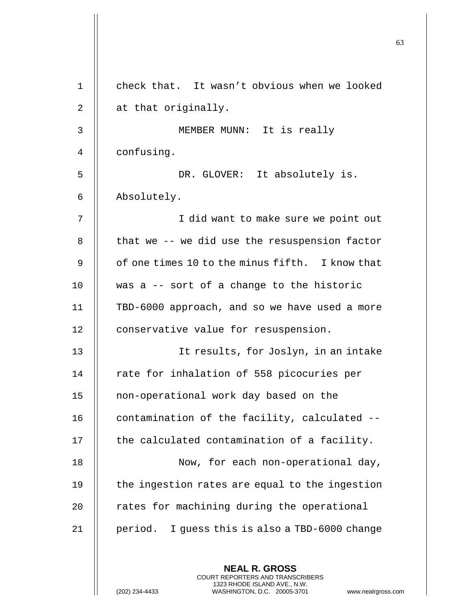| $\mathbf 1$ | check that. It wasn't obvious when we looked    |
|-------------|-------------------------------------------------|
| 2           | at that originally.                             |
| 3           | MEMBER MUNN: It is really                       |
| 4           | confusing.                                      |
| 5           | DR. GLOVER: It absolutely is.                   |
| 6           | Absolutely.                                     |
| 7           | I did want to make sure we point out            |
| 8           | that we -- we did use the resuspension factor   |
| 9           | of one times 10 to the minus fifth. I know that |
| 10          | was a -- sort of a change to the historic       |
| 11          | TBD-6000 approach, and so we have used a more   |
| 12          | conservative value for resuspension.            |
| 13          | It results, for Joslyn, in an intake            |
| 14          | rate for inhalation of 558 picocuries per       |
| 15          | non-operational work day based on the           |
| 16          | contamination of the facility, calculated --    |
| 17          | the calculated contamination of a facility.     |
| 18          | Now, for each non-operational day,              |
| 19          | the ingestion rates are equal to the ingestion  |
| 20          | rates for machining during the operational      |
| 21          | period. I guess this is also a TBD-6000 change  |
|             | <b>NEAL R. GROSS</b>                            |

(202) 234-4433 WASHINGTON, D.C. 20005-3701 www.nealrgross.com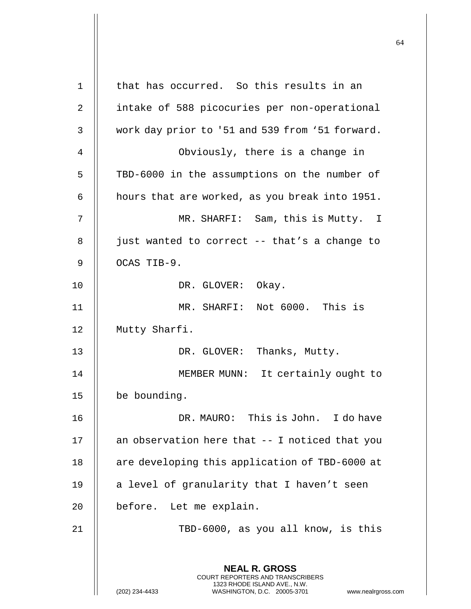| 1  | that has occurred. So this results in an                                                                                                                               |
|----|------------------------------------------------------------------------------------------------------------------------------------------------------------------------|
| 2  | intake of 588 picocuries per non-operational                                                                                                                           |
| 3  | work day prior to '51 and 539 from '51 forward.                                                                                                                        |
| 4  | Obviously, there is a change in                                                                                                                                        |
| 5  | TBD-6000 in the assumptions on the number of                                                                                                                           |
| 6  | hours that are worked, as you break into 1951.                                                                                                                         |
| 7  | MR. SHARFI: Sam, this is Mutty. I                                                                                                                                      |
| 8  | just wanted to correct -- that's a change to                                                                                                                           |
| 9  | OCAS TIB-9.                                                                                                                                                            |
| 10 | DR. GLOVER: Okay.                                                                                                                                                      |
| 11 | MR. SHARFI: Not 6000. This is                                                                                                                                          |
| 12 | Mutty Sharfi.                                                                                                                                                          |
| 13 | DR. GLOVER: Thanks, Mutty.                                                                                                                                             |
| 14 | MEMBER MUNN: It certainly ought to                                                                                                                                     |
| 15 | be bounding.                                                                                                                                                           |
| 16 | DR. MAURO: This is John. I do have                                                                                                                                     |
| 17 | an observation here that -- I noticed that you                                                                                                                         |
| 18 | are developing this application of TBD-6000 at                                                                                                                         |
| 19 | a level of granularity that I haven't seen                                                                                                                             |
| 20 | before. Let me explain.                                                                                                                                                |
| 21 | TBD-6000, as you all know, is this                                                                                                                                     |
|    | <b>NEAL R. GROSS</b><br><b>COURT REPORTERS AND TRANSCRIBERS</b><br>1323 RHODE ISLAND AVE., N.W.<br>(202) 234-4433<br>WASHINGTON, D.C. 20005-3701<br>www.nealrgross.com |

 $\mathbf{I}$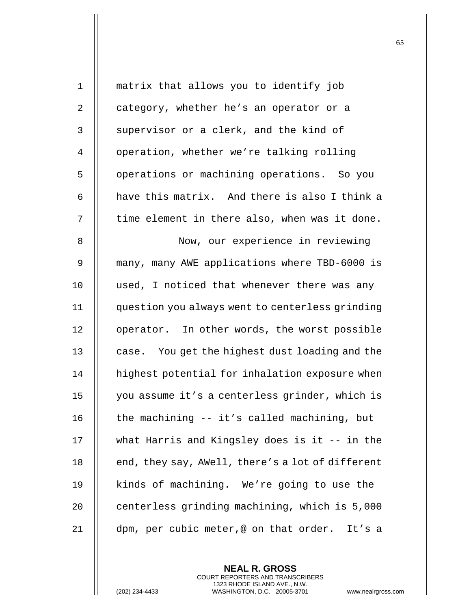| $\mathbf{1}$   | matrix that allows you to identify job           |
|----------------|--------------------------------------------------|
| $\overline{2}$ | category, whether he's an operator or a          |
| 3              | supervisor or a clerk, and the kind of           |
| 4              | operation, whether we're talking rolling         |
| 5              | operations or machining operations. So you       |
| 6              | have this matrix. And there is also I think a    |
| 7              | time element in there also, when was it done.    |
| 8              | Now, our experience in reviewing                 |
| $\mathsf 9$    | many, many AWE applications where TBD-6000 is    |
| 10             | used, I noticed that whenever there was any      |
| 11             | question you always went to centerless grinding  |
| 12             | operator. In other words, the worst possible     |
| 13             | case. You get the highest dust loading and the   |
| 14             | highest potential for inhalation exposure when   |
| 15             | you assume it's a centerless grinder, which is   |
| 16             | the machining -- it's called machining, but      |
| 17             | what Harris and Kingsley does is it -- in the    |
| 18             | end, they say, AWell, there's a lot of different |
| 19             | kinds of machining. We're going to use the       |
| 20             | centerless grinding machining, which is 5,000    |
| 21             | dpm, per cubic meter,@ on that order.<br>It's a  |

(202) 234-4433 WASHINGTON, D.C. 20005-3701 www.nealrgross.com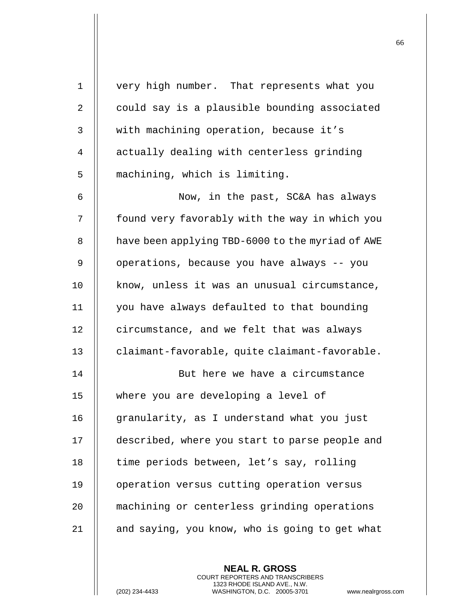| $\mathbf 1$ | very high number. That represents what you       |
|-------------|--------------------------------------------------|
| 2           | could say is a plausible bounding associated     |
| 3           | with machining operation, because it's           |
| 4           | actually dealing with centerless grinding        |
| 5           | machining, which is limiting.                    |
| 6           | Now, in the past, SC&A has always                |
| 7           | found very favorably with the way in which you   |
| 8           | have been applying TBD-6000 to the myriad of AWE |
| 9           | operations, because you have always -- you       |
| 10          | know, unless it was an unusual circumstance,     |
| 11          | you have always defaulted to that bounding       |
| 12          | circumstance, and we felt that was always        |
| 13          | claimant-favorable, quite claimant-favorable.    |
| 14          | But here we have a circumstance                  |
| 15          | where you are developing a level of              |
| 16          | granularity, as I understand what you just       |
| 17          | described, where you start to parse people and   |
| 18          | time periods between, let's say, rolling         |
| 19          | operation versus cutting operation versus        |
| 20          | machining or centerless grinding operations      |
| 21          | and saying, you know, who is going to get what   |
|             |                                                  |

(202) 234-4433 WASHINGTON, D.C. 20005-3701 www.nealrgross.com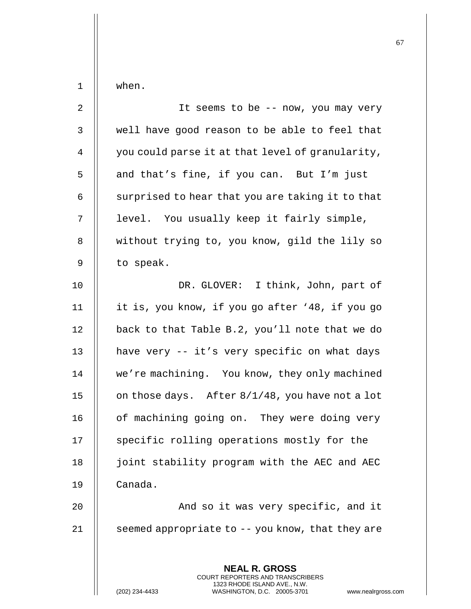| $\mathbf 1$  | when.                                                                                                                                                      |
|--------------|------------------------------------------------------------------------------------------------------------------------------------------------------------|
| $\sqrt{2}$   | It seems to be -- now, you may very                                                                                                                        |
| $\mathsf{3}$ | well have good reason to be able to feel that                                                                                                              |
| 4            | you could parse it at that level of granularity,                                                                                                           |
| 5            | and that's fine, if you can. But I'm just                                                                                                                  |
| 6            | surprised to hear that you are taking it to that                                                                                                           |
| 7            | level. You usually keep it fairly simple,                                                                                                                  |
| $\,8\,$      | without trying to, you know, gild the lily so                                                                                                              |
| 9            | to speak.                                                                                                                                                  |
| 10           | DR. GLOVER: I think, John, part of                                                                                                                         |
| 11           | it is, you know, if you go after '48, if you go                                                                                                            |
| 12           | back to that Table B.2, you'll note that we do                                                                                                             |
| 13           | have very -- it's very specific on what days                                                                                                               |
| 14           | we're machining. You know, they only machined                                                                                                              |
| 15           | on those days. After 8/1/48, you have not a lot                                                                                                            |
| 16           | of machining going on. They were doing very                                                                                                                |
| 17           | specific rolling operations mostly for the                                                                                                                 |
| 18           | joint stability program with the AEC and AEC                                                                                                               |
| 19           | Canada.                                                                                                                                                    |
| 20           | And so it was very specific, and it                                                                                                                        |
| 21           | seemed appropriate to -- you know, that they are                                                                                                           |
|              |                                                                                                                                                            |
|              | <b>NEAL R. GROSS</b><br>COURT REPORTERS AND TRANSCRIBERS<br>1323 RHODE ISLAND AVE., N.W.<br>WASHINGTON, D.C. 20005-3701<br>(202) 234-4433<br>www.nealrgros |

(202) 234-4433 WASHINGTON, D.C. 20005-3701 www.nealrgross.com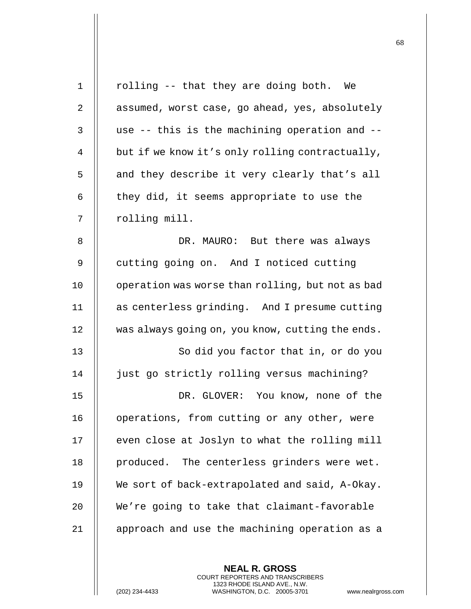| $\mathbf{1}$   | rolling -- that they are doing both. We          |
|----------------|--------------------------------------------------|
| $\overline{2}$ | assumed, worst case, go ahead, yes, absolutely   |
| 3              | use -- this is the machining operation and --    |
| 4              | but if we know it's only rolling contractually,  |
| 5              | and they describe it very clearly that's all     |
| 6              | they did, it seems appropriate to use the        |
| 7              | rolling mill.                                    |
| 8              | DR. MAURO: But there was always                  |
| 9              | cutting going on. And I noticed cutting          |
| 10             | operation was worse than rolling, but not as bad |
| 11             | as centerless grinding. And I presume cutting    |
| 12             | was always going on, you know, cutting the ends. |
| 13             | So did you factor that in, or do you             |
| 14             | just go strictly rolling versus machining?       |
| 15             | DR. GLOVER: You know, none of the                |
| 16             | operations, from cutting or any other, were      |
| 17             | even close at Joslyn to what the rolling mill    |
| 18             | produced. The centerless grinders were wet.      |
| 19             | We sort of back-extrapolated and said, A-Okay.   |
| 20             | We're going to take that claimant-favorable      |
| 21             | approach and use the machining operation as a    |
|                |                                                  |

(202) 234-4433 WASHINGTON, D.C. 20005-3701 www.nealrgross.com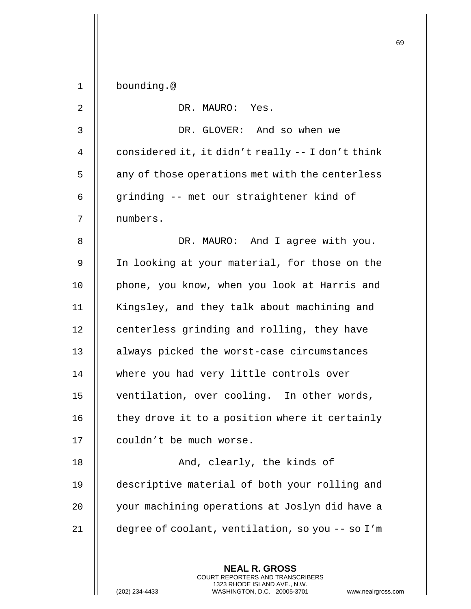| $\mathbf 1$ | bounding.@                                                                                                                                                           |
|-------------|----------------------------------------------------------------------------------------------------------------------------------------------------------------------|
| 2           | DR. MAURO: Yes.                                                                                                                                                      |
| 3           | DR. GLOVER: And so when we                                                                                                                                           |
| 4           | considered it, it didn't really -- I don't think                                                                                                                     |
| 5           | any of those operations met with the centerless                                                                                                                      |
| 6           | grinding -- met our straightener kind of                                                                                                                             |
| 7           | numbers.                                                                                                                                                             |
| 8           | DR. MAURO: And I agree with you.                                                                                                                                     |
| 9           | In looking at your material, for those on the                                                                                                                        |
| 10          | phone, you know, when you look at Harris and                                                                                                                         |
| 11          | Kingsley, and they talk about machining and                                                                                                                          |
| 12          | centerless grinding and rolling, they have                                                                                                                           |
| 13          | always picked the worst-case circumstances                                                                                                                           |
| 14          | where you had very little controls over                                                                                                                              |
| 15          | ventilation, over cooling. In other words,                                                                                                                           |
| 16          | they drove it to a position where it certainly                                                                                                                       |
| 17          | couldn't be much worse.                                                                                                                                              |
| 18          | And, clearly, the kinds of                                                                                                                                           |
| 19          | descriptive material of both your rolling and                                                                                                                        |
| 20          | your machining operations at Joslyn did have a                                                                                                                       |
| 21          | degree of coolant, ventilation, so you -- so I'm                                                                                                                     |
|             |                                                                                                                                                                      |
|             | <b>NEAL R. GROSS</b><br><b>COURT REPORTERS AND TRANSCRIBERS</b><br>1323 RHODE ISLAND AVE., N.W.<br>(202) 234-4433<br>WASHINGTON, D.C. 20005-3701<br>www.nealrgross.o |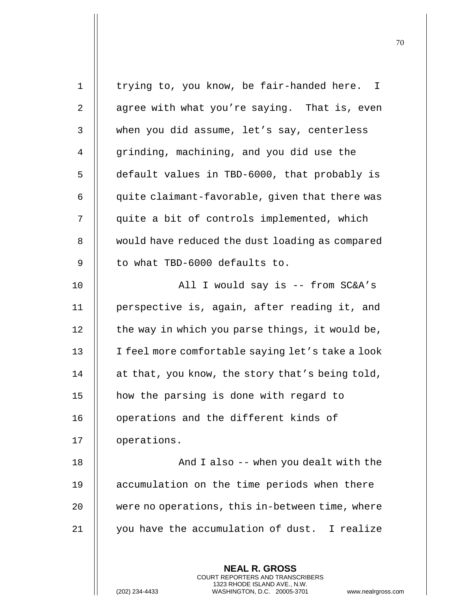| $\mathbf{1}$   | trying to, you know, be fair-handed here. I                                                                                                                        |
|----------------|--------------------------------------------------------------------------------------------------------------------------------------------------------------------|
| 2              | agree with what you're saying. That is, even                                                                                                                       |
| 3              | when you did assume, let's say, centerless                                                                                                                         |
| $\overline{4}$ | grinding, machining, and you did use the                                                                                                                           |
| 5              | default values in TBD-6000, that probably is                                                                                                                       |
| 6              | quite claimant-favorable, given that there was                                                                                                                     |
| 7              | quite a bit of controls implemented, which                                                                                                                         |
| 8              | would have reduced the dust loading as compared                                                                                                                    |
| 9              | to what TBD-6000 defaults to.                                                                                                                                      |
| 10             | All I would say is -- from SC&A's                                                                                                                                  |
| 11             | perspective is, again, after reading it, and                                                                                                                       |
| 12             | the way in which you parse things, it would be,                                                                                                                    |
| 13             | I feel more comfortable saying let's take a look                                                                                                                   |
| 14             | at that, you know, the story that's being told,                                                                                                                    |
| 15             | how the parsing is done with regard to                                                                                                                             |
| 16             | operations and the different kinds of                                                                                                                              |
| 17             | operations.                                                                                                                                                        |
| 18             | And I also -- when you dealt with the                                                                                                                              |
| 19             | accumulation on the time periods when there                                                                                                                        |
| 20             | were no operations, this in-between time, where                                                                                                                    |
| 21             | you have the accumulation of dust. I realize                                                                                                                       |
|                | <b>NEAL R. GROSS</b><br><b>COURT REPORTERS AND TRANSCRIBERS</b><br>1323 RHODE ISLAND AVE., N.W.<br>(202) 234-4433<br>WASHINGTON, D.C. 20005-3701<br>www.nealrgross |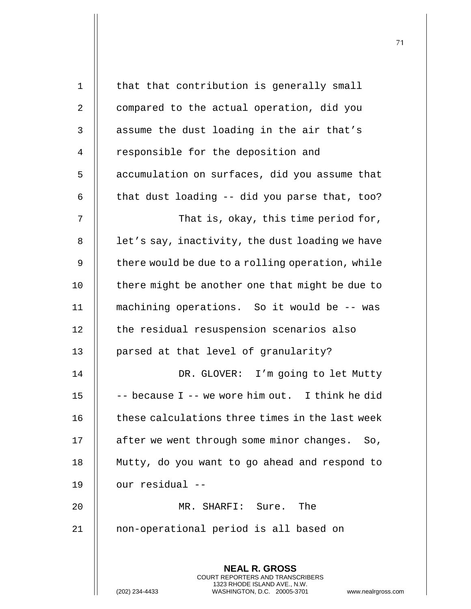| $\mathbf 1$ | that that contribution is generally small                                                                                                                   |
|-------------|-------------------------------------------------------------------------------------------------------------------------------------------------------------|
| 2           | compared to the actual operation, did you                                                                                                                   |
| 3           | assume the dust loading in the air that's                                                                                                                   |
| 4           | responsible for the deposition and                                                                                                                          |
| 5           | accumulation on surfaces, did you assume that                                                                                                               |
| 6           | that dust loading -- did you parse that, too?                                                                                                               |
| 7           | That is, okay, this time period for,                                                                                                                        |
| 8           | let's say, inactivity, the dust loading we have                                                                                                             |
| 9           | there would be due to a rolling operation, while                                                                                                            |
| 10          | there might be another one that might be due to                                                                                                             |
| 11          | machining operations. So it would be -- was                                                                                                                 |
| 12          | the residual resuspension scenarios also                                                                                                                    |
| 13          | parsed at that level of granularity?                                                                                                                        |
| 14          | DR. GLOVER: I'm going to let Mutty                                                                                                                          |
| 15          | -- because I -- we wore him out. I think he did                                                                                                             |
| 16          | these calculations three times in the last week                                                                                                             |
| 17          | after we went through some minor changes. So,                                                                                                               |
| 18          | Mutty, do you want to go ahead and respond to                                                                                                               |
| 19          | our residual --                                                                                                                                             |
| 20          | MR. SHARFI: Sure. The                                                                                                                                       |
| 21          | non-operational period is all based on                                                                                                                      |
|             |                                                                                                                                                             |
|             | <b>NEAL R. GROSS</b><br>COURT REPORTERS AND TRANSCRIBERS<br>1323 RHODE ISLAND AVE., N.W.<br>(202) 234-4433<br>WASHINGTON, D.C. 20005-3701<br>www.nealrgross |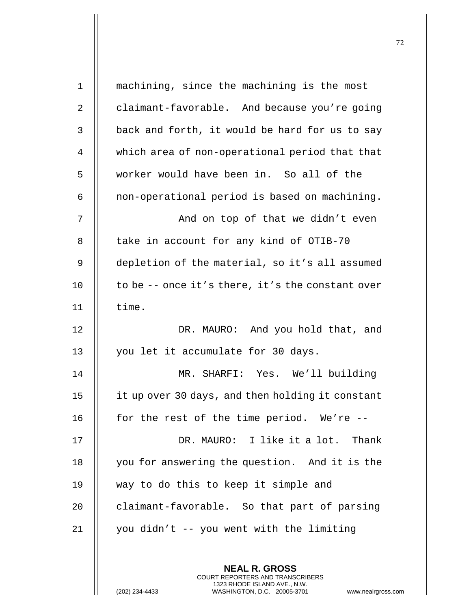| $\mathbf 1$  | machining, since the machining is the most       |
|--------------|--------------------------------------------------|
| 2            | claimant-favorable. And because you're going     |
| $\mathbf{3}$ | back and forth, it would be hard for us to say   |
| 4            | which area of non-operational period that that   |
| 5            | worker would have been in. So all of the         |
| 6            | non-operational period is based on machining.    |
| 7            | And on top of that we didn't even                |
| 8            | take in account for any kind of OTIB-70          |
| 9            | depletion of the material, so it's all assumed   |
| 10           | to be -- once it's there, it's the constant over |
| 11           | time.                                            |
| 12           | DR. MAURO: And you hold that, and                |
| 13           | you let it accumulate for 30 days.               |
| 14           | MR. SHARFI: Yes. We'll building                  |
| 15           | it up over 30 days, and then holding it constant |
| 16           | for the rest of the time period. We're --        |
| 17           | DR. MAURO: I like it a lot. Thank                |
| 18           | you for answering the question. And it is the    |
| 19           | way to do this to keep it simple and             |
| 20           | claimant-favorable. So that part of parsing      |
| 21           | you didn't -- you went with the limiting         |
|              |                                                  |
|              | <b>NEAL R. GROSS</b>                             |

(202) 234-4433 WASHINGTON, D.C. 20005-3701 www.nealrgross.com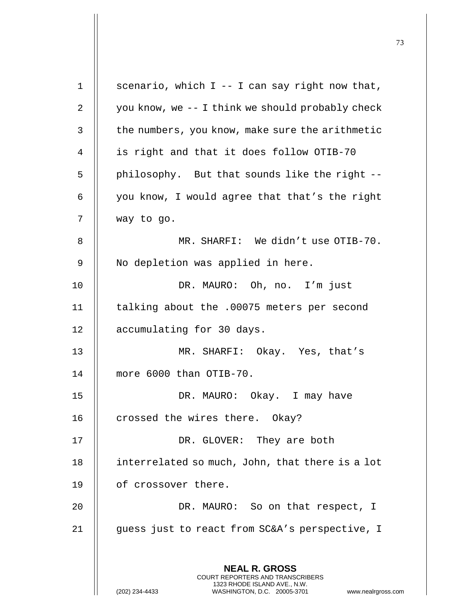**NEAL R. GROSS** COURT REPORTERS AND TRANSCRIBERS 1323 RHODE ISLAND AVE., N.W. (202) 234-4433 WASHINGTON, D.C. 20005-3701 www.nealrgross.com 1 | scenario, which  $I - I$  can say right now that, 2  $\parallel$  you know, we -- I think we should probably check 3 | the numbers, you know, make sure the arithmetic 4 || is right and that it does follow OTIB-70  $5$  | philosophy. But that sounds like the right --6  $\parallel$  you know, I would agree that that's the right 7 way to go. 8 MR. SHARFI: We didn't use OTIB-70. 9 || No depletion was applied in here. 10 || DR. MAURO: Oh, no. I'm just 11 | talking about the .00075 meters per second 12 | accumulating for 30 days. 13 MR. SHARFI: Okay. Yes, that's 14 more 6000 than OTIB-70. 15 || DR. MAURO: Okay. I may have 16  $\parallel$  crossed the wires there. Okay? 17 || DR. GLOVER: They are both 18 | interrelated so much, John, that there is a lot 19 of crossover there. 20 || DR. MAURO: So on that respect, I 21 | guess just to react from SC&A's perspective, I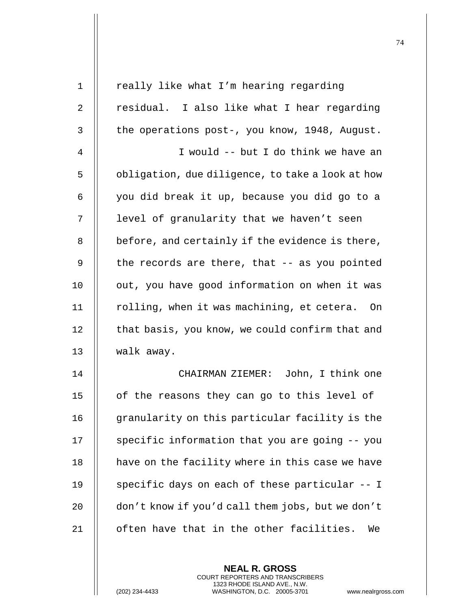| $\mathbf 1$ | really like what I'm hearing regarding           |
|-------------|--------------------------------------------------|
| 2           | residual. I also like what I hear regarding      |
| 3           | the operations post-, you know, 1948, August.    |
| 4           | I would -- but I do think we have an             |
| 5           | obligation, due diligence, to take a look at how |
| 6           | you did break it up, because you did go to a     |
| 7           | level of granularity that we haven't seen        |
| 8           | before, and certainly if the evidence is there,  |
| 9           | the records are there, that -- as you pointed    |
| 10          | out, you have good information on when it was    |
| 11          | rolling, when it was machining, et cetera.<br>On |
| 12          | that basis, you know, we could confirm that and  |
| 13          | walk away.                                       |
| 14          | CHAIRMAN ZIEMER: John, I think one               |
| 15          | of the reasons they can go to this level of      |
| 16          | granularity on this particular facility is the   |
| 17          | specific information that you are going -- you   |
| 18          | have on the facility where in this case we have  |
| 19          | specific days on each of these particular -- I   |
| 20          | don't know if you'd call them jobs, but we don't |
| 21          | often have that in the other facilities.<br>We   |
|             |                                                  |

**NEAL R. GROSS** COURT REPORTERS AND TRANSCRIBERS 1323 RHODE ISLAND AVE., N.W.

(202) 234-4433 WASHINGTON, D.C. 20005-3701 www.nealrgross.com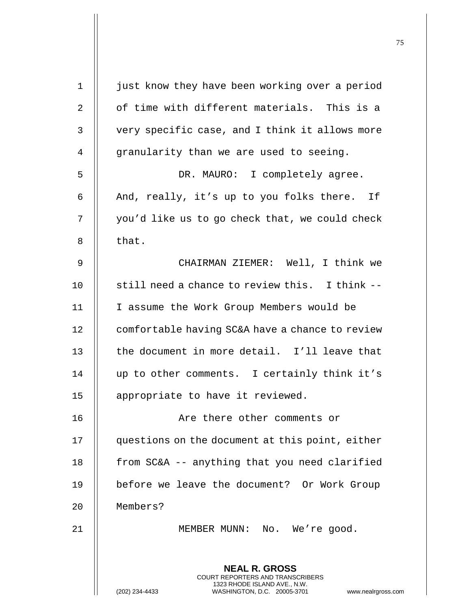| 1  | just know they have been working over a period                                                                                                              |
|----|-------------------------------------------------------------------------------------------------------------------------------------------------------------|
| 2  | of time with different materials. This is a                                                                                                                 |
| 3  | very specific case, and I think it allows more                                                                                                              |
| 4  | granularity than we are used to seeing.                                                                                                                     |
| 5  | DR. MAURO: I completely agree.                                                                                                                              |
| 6  | And, really, it's up to you folks there. If                                                                                                                 |
| 7  | you'd like us to go check that, we could check                                                                                                              |
| 8  | that.                                                                                                                                                       |
| 9  | CHAIRMAN ZIEMER: Well, I think we                                                                                                                           |
| 10 | still need a chance to review this. I think --                                                                                                              |
| 11 | I assume the Work Group Members would be                                                                                                                    |
| 12 | comfortable having SC&A have a chance to review                                                                                                             |
| 13 | the document in more detail. I'll leave that                                                                                                                |
| 14 | up to other comments. I certainly think it's                                                                                                                |
| 15 | appropriate to have it reviewed.                                                                                                                            |
| 16 | Are there other comments or                                                                                                                                 |
| 17 | questions on the document at this point, either                                                                                                             |
| 18 | from SC&A -- anything that you need clarified                                                                                                               |
| 19 | before we leave the document? Or Work Group                                                                                                                 |
| 20 | Members?                                                                                                                                                    |
| 21 | MEMBER MUNN: No. We're good.                                                                                                                                |
|    |                                                                                                                                                             |
|    | <b>NEAL R. GROSS</b><br>COURT REPORTERS AND TRANSCRIBERS<br>1323 RHODE ISLAND AVE., N.W.<br>(202) 234-4433<br>WASHINGTON, D.C. 20005-3701<br>www.nealrgross |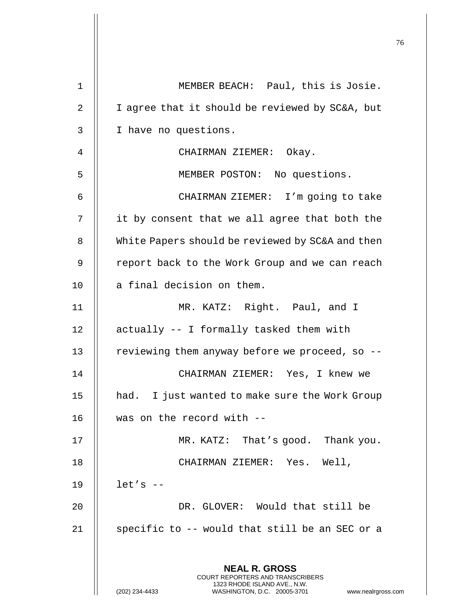| 1  | MEMBER BEACH: Paul, this is Josie.                                                                                                                                     |
|----|------------------------------------------------------------------------------------------------------------------------------------------------------------------------|
| 2  | I agree that it should be reviewed by SC&A, but                                                                                                                        |
| 3  | I have no questions.                                                                                                                                                   |
| 4  | CHAIRMAN ZIEMER: Okay.                                                                                                                                                 |
| 5  | MEMBER POSTON: No questions.                                                                                                                                           |
| 6  | CHAIRMAN ZIEMER: I'm going to take                                                                                                                                     |
| 7  | it by consent that we all agree that both the                                                                                                                          |
| 8  | White Papers should be reviewed by SC&A and then                                                                                                                       |
| 9  | report back to the Work Group and we can reach                                                                                                                         |
| 10 | a final decision on them.                                                                                                                                              |
| 11 | MR. KATZ: Right. Paul, and I                                                                                                                                           |
| 12 | actually -- I formally tasked them with                                                                                                                                |
| 13 | reviewing them anyway before we proceed, so --                                                                                                                         |
| 14 | CHAIRMAN ZIEMER: Yes, I knew we                                                                                                                                        |
| 15 | I just wanted to make sure the Work Group<br>had.                                                                                                                      |
| 16 | was on the record with --                                                                                                                                              |
| 17 | MR. KATZ: That's good. Thank you.                                                                                                                                      |
| 18 | CHAIRMAN ZIEMER: Yes. Well,                                                                                                                                            |
| 19 | $let's --$                                                                                                                                                             |
| 20 | DR. GLOVER: Would that still be                                                                                                                                        |
| 21 | specific to -- would that still be an SEC or a                                                                                                                         |
|    |                                                                                                                                                                        |
|    | <b>NEAL R. GROSS</b><br><b>COURT REPORTERS AND TRANSCRIBERS</b><br>1323 RHODE ISLAND AVE., N.W.<br>(202) 234-4433<br>WASHINGTON, D.C. 20005-3701<br>www.nealrgross.com |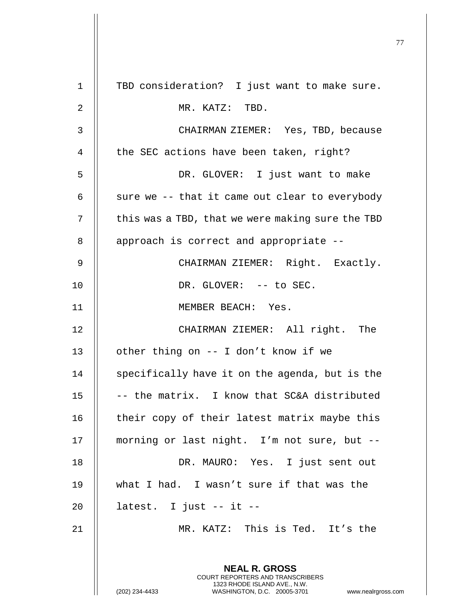|             |                                                                                                                                                                 | 77 |
|-------------|-----------------------------------------------------------------------------------------------------------------------------------------------------------------|----|
| $\mathbf 1$ | TBD consideration? I just want to make sure.                                                                                                                    |    |
| 2           | MR. KATZ: TBD.                                                                                                                                                  |    |
|             |                                                                                                                                                                 |    |
| 3           | CHAIRMAN ZIEMER: Yes, TBD, because                                                                                                                              |    |
| 4           | the SEC actions have been taken, right?                                                                                                                         |    |
| 5           | DR. GLOVER: I just want to make                                                                                                                                 |    |
| 6           | sure we -- that it came out clear to everybody                                                                                                                  |    |
| 7           | this was a TBD, that we were making sure the TBD                                                                                                                |    |
| 8           | approach is correct and appropriate --                                                                                                                          |    |
| 9           | CHAIRMAN ZIEMER: Right. Exactly.                                                                                                                                |    |
| 10          | DR. GLOVER: -- to SEC.                                                                                                                                          |    |
| 11          | MEMBER BEACH: Yes.                                                                                                                                              |    |
| 12          | CHAIRMAN ZIEMER: All right. The                                                                                                                                 |    |
| 13          | other thing on -- I don't know if we                                                                                                                            |    |
| 14          | specifically have it on the agenda, but is the                                                                                                                  |    |
| 15          | -- the matrix. I know that SC&A distributed                                                                                                                     |    |
| 16          | their copy of their latest matrix maybe this                                                                                                                    |    |
| 17          | morning or last night. I'm not sure, but --                                                                                                                     |    |
| 18          | DR. MAURO: Yes. I just sent out                                                                                                                                 |    |
| 19          | what I had. I wasn't sure if that was the                                                                                                                       |    |
| 20          | latest. I just -- it --                                                                                                                                         |    |
| 21          | MR. KATZ: This is Ted. It's the                                                                                                                                 |    |
|             | <b>NEAL R. GROSS</b><br>COURT REPORTERS AND TRANSCRIBERS<br>1323 RHODE ISLAND AVE., N.W.<br>(202) 234-4433<br>WASHINGTON, D.C. 20005-3701<br>www.nealrgross.com |    |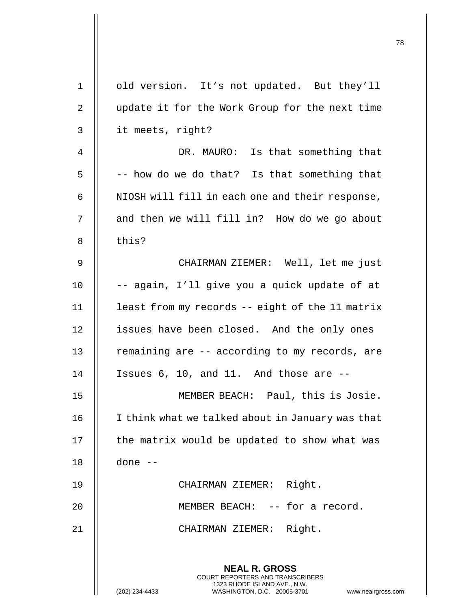| $\mathbf{1}$ | old version. It's not updated. But they'll                                                                                                                             |
|--------------|------------------------------------------------------------------------------------------------------------------------------------------------------------------------|
| 2            | update it for the Work Group for the next time                                                                                                                         |
| 3            | it meets, right?                                                                                                                                                       |
| 4            | DR. MAURO: Is that something that                                                                                                                                      |
| 5            | -- how do we do that? Is that something that                                                                                                                           |
| 6            | NIOSH will fill in each one and their response,                                                                                                                        |
| 7            | and then we will fill in? How do we go about                                                                                                                           |
| 8            | this?                                                                                                                                                                  |
| 9            | CHAIRMAN ZIEMER: Well, let me just                                                                                                                                     |
| 10           | -- again, I'll give you a quick update of at                                                                                                                           |
| 11           | least from my records -- eight of the 11 matrix                                                                                                                        |
| 12           | issues have been closed. And the only ones                                                                                                                             |
| 13           | remaining are -- according to my records, are                                                                                                                          |
| 14           | Issues 6, 10, and 11. And those are --                                                                                                                                 |
| 15           | MEMBER BEACH: Paul, this is Josie.                                                                                                                                     |
| 16           | I think what we talked about in January was that                                                                                                                       |
| 17           | the matrix would be updated to show what was                                                                                                                           |
| 18           | done --                                                                                                                                                                |
| 19           | CHAIRMAN ZIEMER: Right.                                                                                                                                                |
| 20           | MEMBER BEACH: -- for a record.                                                                                                                                         |
| 21           | CHAIRMAN ZIEMER: Right.                                                                                                                                                |
|              |                                                                                                                                                                        |
|              | <b>NEAL R. GROSS</b><br><b>COURT REPORTERS AND TRANSCRIBERS</b><br>1323 RHODE ISLAND AVE., N.W.<br>(202) 234-4433<br>WASHINGTON, D.C. 20005-3701<br>www.nealrgross.com |

 $\mathbf{I}$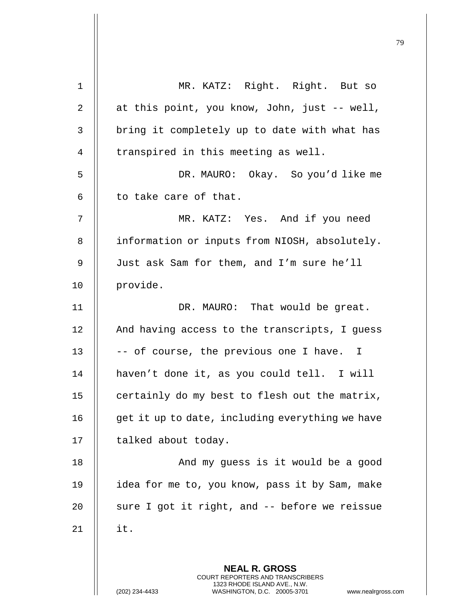| 1  | MR. KATZ: Right. Right. But so                                                                                                                                  |
|----|-----------------------------------------------------------------------------------------------------------------------------------------------------------------|
| 2  | at this point, you know, John, just -- well,                                                                                                                    |
| 3  | bring it completely up to date with what has                                                                                                                    |
| 4  | transpired in this meeting as well.                                                                                                                             |
| 5  | DR. MAURO: Okay. So you'd like me                                                                                                                               |
| 6  | to take care of that.                                                                                                                                           |
| 7  | MR. KATZ: Yes. And if you need                                                                                                                                  |
| 8  | information or inputs from NIOSH, absolutely.                                                                                                                   |
| 9  | Just ask Sam for them, and I'm sure he'll                                                                                                                       |
| 10 | provide.                                                                                                                                                        |
| 11 | DR. MAURO: That would be great.                                                                                                                                 |
| 12 | And having access to the transcripts, I guess                                                                                                                   |
| 13 | -- of course, the previous one I have. I                                                                                                                        |
| 14 | haven't done it, as you could tell. I will                                                                                                                      |
| 15 | certainly do my best to flesh out the matrix,                                                                                                                   |
| 16 | get it up to date, including everything we have                                                                                                                 |
| 17 | talked about today.                                                                                                                                             |
| 18 | And my guess is it would be a good                                                                                                                              |
| 19 | idea for me to, you know, pass it by Sam, make                                                                                                                  |
| 20 | sure I got it right, and -- before we reissue                                                                                                                   |
| 21 | it.                                                                                                                                                             |
|    |                                                                                                                                                                 |
|    | <b>NEAL R. GROSS</b><br>COURT REPORTERS AND TRANSCRIBERS<br>1323 RHODE ISLAND AVE., N.W.<br>(202) 234-4433<br>WASHINGTON, D.C. 20005-3701<br>www.nealrgross.com |

Ħ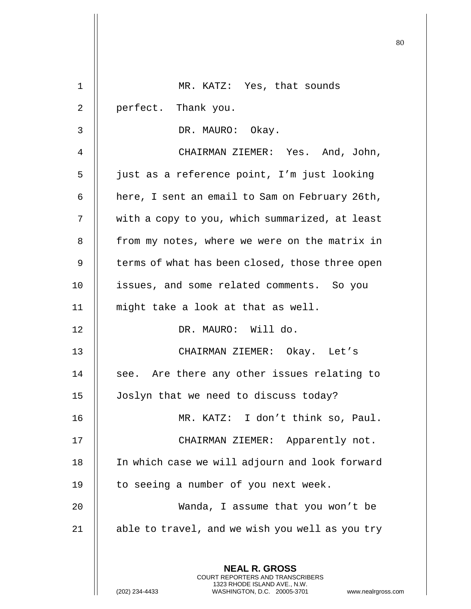|    |                                                                                                                                                                        | 80 |
|----|------------------------------------------------------------------------------------------------------------------------------------------------------------------------|----|
| 1  | MR. KATZ: Yes, that sounds                                                                                                                                             |    |
| 2  | perfect. Thank you.                                                                                                                                                    |    |
| 3  | DR. MAURO: Okay.                                                                                                                                                       |    |
| 4  | CHAIRMAN ZIEMER: Yes. And, John,                                                                                                                                       |    |
| 5  | just as a reference point, I'm just looking                                                                                                                            |    |
| 6  | here, I sent an email to Sam on February 26th,                                                                                                                         |    |
| 7  | with a copy to you, which summarized, at least                                                                                                                         |    |
| 8  | from my notes, where we were on the matrix in                                                                                                                          |    |
| 9  | terms of what has been closed, those three open                                                                                                                        |    |
| 10 | issues, and some related comments. So you                                                                                                                              |    |
| 11 | might take a look at that as well.                                                                                                                                     |    |
| 12 | DR. MAURO: Will do.                                                                                                                                                    |    |
| 13 | CHAIRMAN ZIEMER: Okay. Let's                                                                                                                                           |    |
| 14 | see. Are there any other issues relating to                                                                                                                            |    |
| 15 | Joslyn that we need to discuss today?                                                                                                                                  |    |
| 16 | MR. KATZ: I don't think so, Paul.                                                                                                                                      |    |
| 17 | CHAIRMAN ZIEMER: Apparently not.                                                                                                                                       |    |
| 18 | In which case we will adjourn and look forward                                                                                                                         |    |
| 19 | to seeing a number of you next week.                                                                                                                                   |    |
| 20 | Wanda, I assume that you won't be                                                                                                                                      |    |
| 21 | able to travel, and we wish you well as you try                                                                                                                        |    |
|    |                                                                                                                                                                        |    |
|    | <b>NEAL R. GROSS</b><br><b>COURT REPORTERS AND TRANSCRIBERS</b><br>1323 RHODE ISLAND AVE., N.W.<br>(202) 234-4433<br>WASHINGTON, D.C. 20005-3701<br>www.nealrgross.com |    |

 $\mathop{||}$